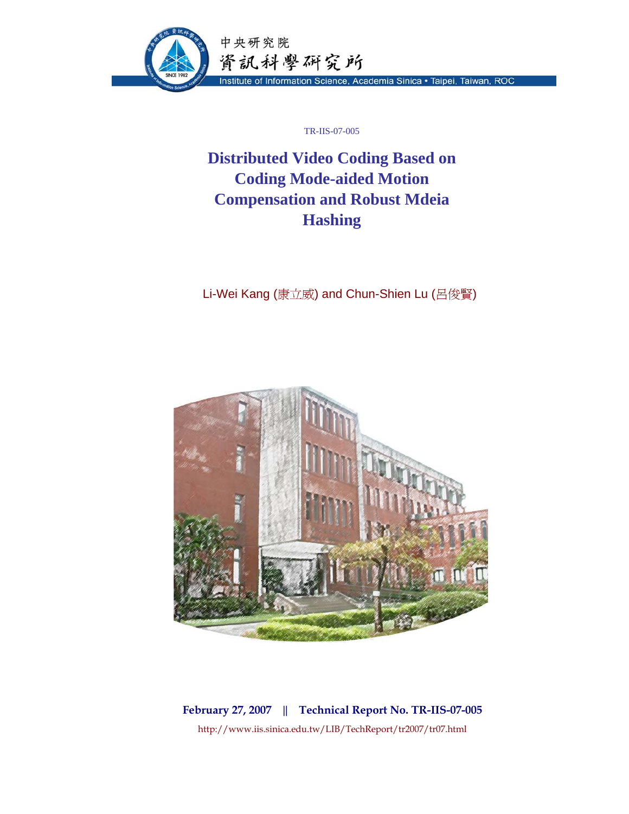

TR-IIS-07-005

# **Distributed Video Coding Based on Coding Mode-aided Motion Compensation and Robust Mdeia Hashing**

Li-Wei Kang (康立威) and Chun-Shien Lu (呂俊賢)



**February 27, 2007 || Technical Report No. TR-IIS-07-005**  http://www.iis.sinica.edu.tw/LIB/TechReport/tr2007/tr07.html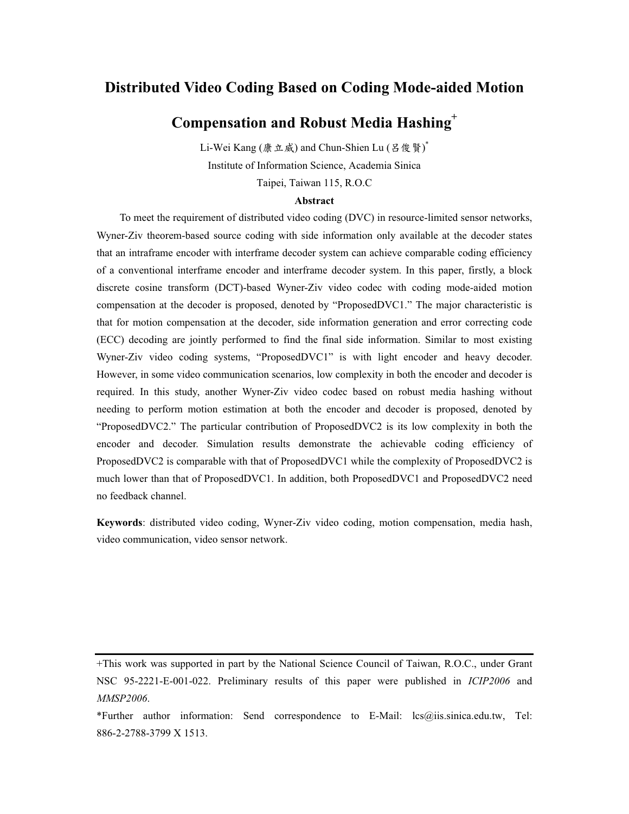# **Distributed Video Coding Based on Coding Mode-aided Motion**

# **Compensation and Robust Media Hashing+**

Li-Wei Kang (康立威) and Chun-Shien Lu (呂俊賢) ٌ Institute of Information Science, Academia Sinica Taipei, Taiwan 115, R.O.C

# **Abstract**

To meet the requirement of distributed video coding (DVC) in resource-limited sensor networks, Wyner-Ziv theorem-based source coding with side information only available at the decoder states that an intraframe encoder with interframe decoder system can achieve comparable coding efficiency of a conventional interframe encoder and interframe decoder system. In this paper, firstly, a block discrete cosine transform (DCT)-based Wyner-Ziv video codec with coding mode-aided motion compensation at the decoder is proposed, denoted by "ProposedDVC1." The major characteristic is that for motion compensation at the decoder, side information generation and error correcting code (ECC) decoding are jointly performed to find the final side information. Similar to most existing Wyner-Ziv video coding systems, "ProposedDVC1" is with light encoder and heavy decoder. However, in some video communication scenarios, low complexity in both the encoder and decoder is required. In this study, another Wyner-Ziv video codec based on robust media hashing without needing to perform motion estimation at both the encoder and decoder is proposed, denoted by "ProposedDVC2." The particular contribution of ProposedDVC2 is its low complexity in both the encoder and decoder. Simulation results demonstrate the achievable coding efficiency of ProposedDVC2 is comparable with that of ProposedDVC1 while the complexity of ProposedDVC2 is much lower than that of ProposedDVC1. In addition, both ProposedDVC1 and ProposedDVC2 need no feedback channel.

**Keywords**: distributed video coding, Wyner-Ziv video coding, motion compensation, media hash, video communication, video sensor network.

<sup>+</sup>This work was supported in part by the National Science Council of Taiwan, R.O.C., under Grant NSC 95-2221-E-001-022. Preliminary results of this paper were published in *ICIP2006* and *MMSP2006*.

<sup>\*</sup>Further author information: Send correspondence to E-Mail: lcs@iis.sinica.edu.tw, Tel: 886-2-2788-3799 X 1513.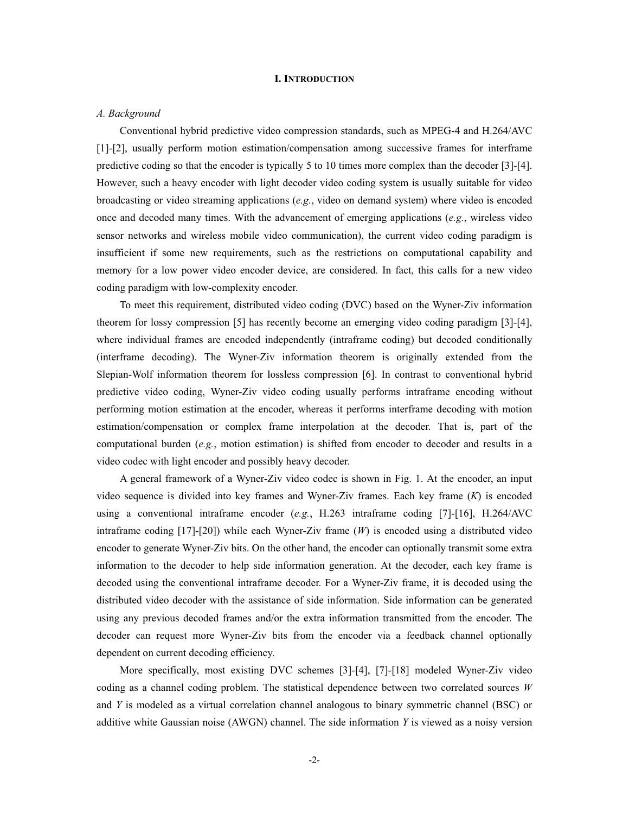# **I. INTRODUCTION**

### *A. Background*

Conventional hybrid predictive video compression standards, such as MPEG-4 and H.264/AVC [1]-[2], usually perform motion estimation/compensation among successive frames for interframe predictive coding so that the encoder is typically 5 to 10 times more complex than the decoder [3]-[4]. However, such a heavy encoder with light decoder video coding system is usually suitable for video broadcasting or video streaming applications (*e.g.*, video on demand system) where video is encoded once and decoded many times. With the advancement of emerging applications (*e.g.*, wireless video sensor networks and wireless mobile video communication), the current video coding paradigm is insufficient if some new requirements, such as the restrictions on computational capability and memory for a low power video encoder device, are considered. In fact, this calls for a new video coding paradigm with low-complexity encoder.

To meet this requirement, distributed video coding (DVC) based on the Wyner-Ziv information theorem for lossy compression [5] has recently become an emerging video coding paradigm [3]-[4], where individual frames are encoded independently (intraframe coding) but decoded conditionally (interframe decoding). The Wyner-Ziv information theorem is originally extended from the Slepian-Wolf information theorem for lossless compression [6]. In contrast to conventional hybrid predictive video coding, Wyner-Ziv video coding usually performs intraframe encoding without performing motion estimation at the encoder, whereas it performs interframe decoding with motion estimation/compensation or complex frame interpolation at the decoder. That is, part of the computational burden (*e.g.*, motion estimation) is shifted from encoder to decoder and results in a video codec with light encoder and possibly heavy decoder.

A general framework of a Wyner-Ziv video codec is shown in Fig. 1. At the encoder, an input video sequence is divided into key frames and Wyner-Ziv frames. Each key frame (*K*) is encoded using a conventional intraframe encoder (*e.g.*, H.263 intraframe coding [7]-[16], H.264/AVC intraframe coding [17]-[20]) while each Wyner-Ziv frame (*W*) is encoded using a distributed video encoder to generate Wyner-Ziv bits. On the other hand, the encoder can optionally transmit some extra information to the decoder to help side information generation. At the decoder, each key frame is decoded using the conventional intraframe decoder. For a Wyner-Ziv frame, it is decoded using the distributed video decoder with the assistance of side information. Side information can be generated using any previous decoded frames and/or the extra information transmitted from the encoder. The decoder can request more Wyner-Ziv bits from the encoder via a feedback channel optionally dependent on current decoding efficiency.

 More specifically, most existing DVC schemes [3]-[4], [7]-[18] modeled Wyner-Ziv video coding as a channel coding problem. The statistical dependence between two correlated sources *W* and *Y* is modeled as a virtual correlation channel analogous to binary symmetric channel (BSC) or additive white Gaussian noise (AWGN) channel. The side information *Y* is viewed as a noisy version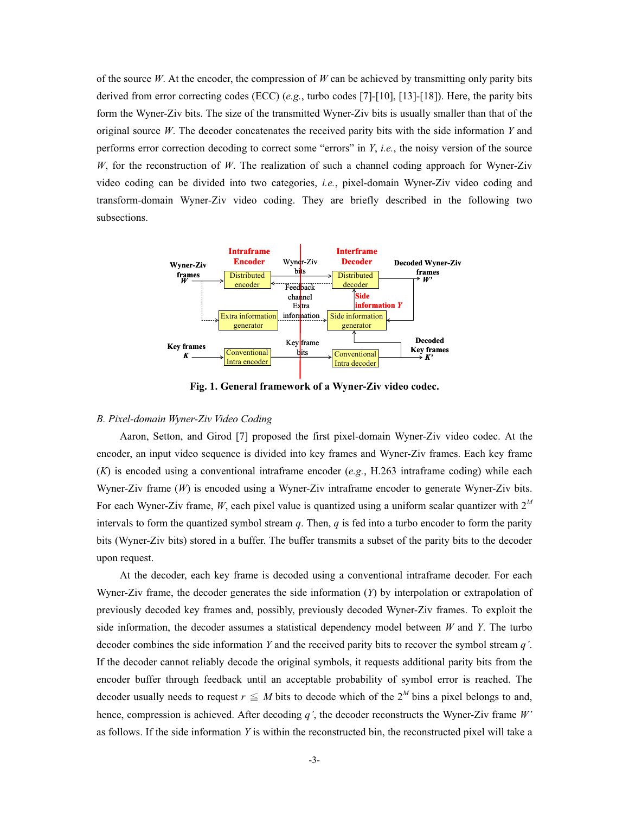of the source *W*. At the encoder, the compression of *W* can be achieved by transmitting only parity bits derived from error correcting codes (ECC) (*e.g.*, turbo codes [7]-[10], [13]-[18]). Here, the parity bits form the Wyner-Ziv bits. The size of the transmitted Wyner-Ziv bits is usually smaller than that of the original source *W*. The decoder concatenates the received parity bits with the side information *Y* and performs error correction decoding to correct some "errors" in *Y*, *i.e.*, the noisy version of the source *W*, for the reconstruction of *W*. The realization of such a channel coding approach for Wyner-Ziv video coding can be divided into two categories, *i.e.*, pixel-domain Wyner-Ziv video coding and transform-domain Wyner-Ziv video coding. They are briefly described in the following two subsections.



**Fig. 1. General framework of a Wyner-Ziv video codec.** 

# *B. Pixel-domain Wyner-Ziv Video Coding*

 Aaron, Setton, and Girod [7] proposed the first pixel-domain Wyner-Ziv video codec. At the encoder, an input video sequence is divided into key frames and Wyner-Ziv frames. Each key frame (*K*) is encoded using a conventional intraframe encoder (*e.g.*, H.263 intraframe coding) while each Wyner-Ziv frame (*W*) is encoded using a Wyner-Ziv intraframe encoder to generate Wyner-Ziv bits. For each Wyner-Ziv frame, *W*, each pixel value is quantized using a uniform scalar quantizer with 2*<sup>M</sup>* intervals to form the quantized symbol stream *q*. Then, *q* is fed into a turbo encoder to form the parity bits (Wyner-Ziv bits) stored in a buffer. The buffer transmits a subset of the parity bits to the decoder upon request.

At the decoder, each key frame is decoded using a conventional intraframe decoder. For each Wyner-Ziv frame, the decoder generates the side information (*Y*) by interpolation or extrapolation of previously decoded key frames and, possibly, previously decoded Wyner-Ziv frames. To exploit the side information, the decoder assumes a statistical dependency model between *W* and *Y*. The turbo decoder combines the side information *Y* and the received parity bits to recover the symbol stream *q'*. If the decoder cannot reliably decode the original symbols, it requests additional parity bits from the encoder buffer through feedback until an acceptable probability of symbol error is reached. The decoder usually needs to request  $r \leq M$  bits to decode which of the  $2^M$  bins a pixel belongs to and, hence, compression is achieved. After decoding *q'*, the decoder reconstructs the Wyner-Ziv frame *W'* as follows. If the side information *Y* is within the reconstructed bin, the reconstructed pixel will take a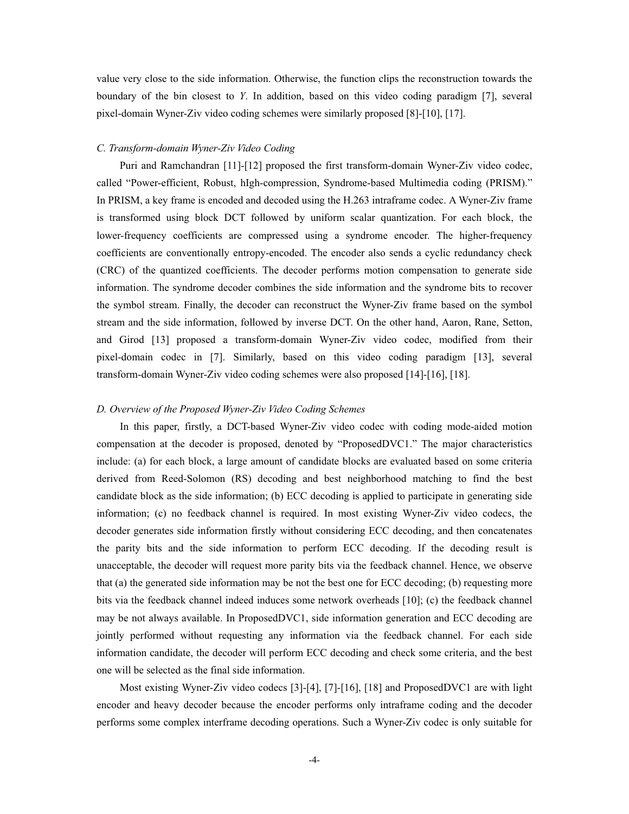value very close to the side information. Otherwise, the function clips the reconstruction towards the boundary of the bin closest to *Y*. In addition, based on this video coding paradigm [7], several pixel-domain Wyner-Ziv video coding schemes were similarly proposed [8]-[10], [17].

## *C. Transform-domain Wyner-Ziv Video Coding*

 Puri and Ramchandran [11]-[12] proposed the first transform-domain Wyner-Ziv video codec, called "Power-efficient, Robust, hIgh-compression, Syndrome-based Multimedia coding (PRISM)." In PRISM, a key frame is encoded and decoded using the H.263 intraframe codec. A Wyner-Ziv frame is transformed using block DCT followed by uniform scalar quantization. For each block, the lower-frequency coefficients are compressed using a syndrome encoder. The higher-frequency coefficients are conventionally entropy-encoded. The encoder also sends a cyclic redundancy check (CRC) of the quantized coefficients. The decoder performs motion compensation to generate side information. The syndrome decoder combines the side information and the syndrome bits to recover the symbol stream. Finally, the decoder can reconstruct the Wyner-Ziv frame based on the symbol stream and the side information, followed by inverse DCT. On the other hand, Aaron, Rane, Setton, and Girod [13] proposed a transform-domain Wyner-Ziv video codec, modified from their pixel-domain codec in [7]. Similarly, based on this video coding paradigm [13], several transform-domain Wyner-Ziv video coding schemes were also proposed [14]-[16], [18].

# *D. Overview of the Proposed Wyner-Ziv Video Coding Schemes*

In this paper, firstly, a DCT-based Wyner-Ziv video codec with coding mode-aided motion compensation at the decoder is proposed, denoted by "ProposedDVC1." The major characteristics include: (a) for each block, a large amount of candidate blocks are evaluated based on some criteria derived from Reed-Solomon (RS) decoding and best neighborhood matching to find the best candidate block as the side information; (b) ECC decoding is applied to participate in generating side information; (c) no feedback channel is required. In most existing Wyner-Ziv video codecs, the decoder generates side information firstly without considering ECC decoding, and then concatenates the parity bits and the side information to perform ECC decoding. If the decoding result is unacceptable, the decoder will request more parity bits via the feedback channel. Hence, we observe that (a) the generated side information may be not the best one for ECC decoding; (b) requesting more bits via the feedback channel indeed induces some network overheads [10]; (c) the feedback channel may be not always available. In ProposedDVC1, side information generation and ECC decoding are jointly performed without requesting any information via the feedback channel. For each side information candidate, the decoder will perform ECC decoding and check some criteria, and the best one will be selected as the final side information.

Most existing Wyner-Ziv video codecs [3]-[4], [7]-[16], [18] and ProposedDVC1 are with light encoder and heavy decoder because the encoder performs only intraframe coding and the decoder performs some complex interframe decoding operations. Such a Wyner-Ziv codec is only suitable for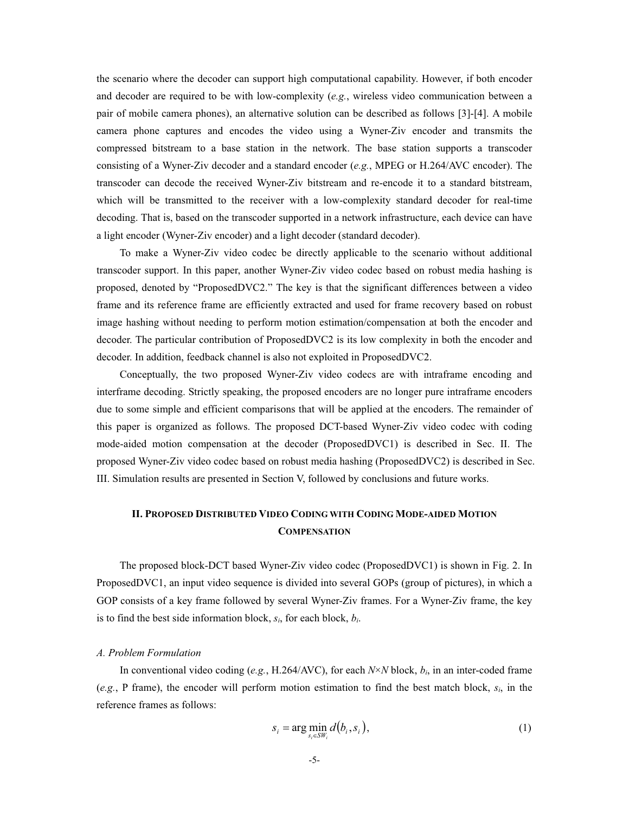the scenario where the decoder can support high computational capability. However, if both encoder and decoder are required to be with low-complexity (*e.g.*, wireless video communication between a pair of mobile camera phones), an alternative solution can be described as follows [3]-[4]. A mobile camera phone captures and encodes the video using a Wyner-Ziv encoder and transmits the compressed bitstream to a base station in the network. The base station supports a transcoder consisting of a Wyner-Ziv decoder and a standard encoder (*e.g.*, MPEG or H.264/AVC encoder). The transcoder can decode the received Wyner-Ziv bitstream and re-encode it to a standard bitstream, which will be transmitted to the receiver with a low-complexity standard decoder for real-time decoding. That is, based on the transcoder supported in a network infrastructure, each device can have a light encoder (Wyner-Ziv encoder) and a light decoder (standard decoder).

 To make a Wyner-Ziv video codec be directly applicable to the scenario without additional transcoder support. In this paper, another Wyner-Ziv video codec based on robust media hashing is proposed, denoted by "ProposedDVC2." The key is that the significant differences between a video frame and its reference frame are efficiently extracted and used for frame recovery based on robust image hashing without needing to perform motion estimation/compensation at both the encoder and decoder. The particular contribution of ProposedDVC2 is its low complexity in both the encoder and decoder. In addition, feedback channel is also not exploited in ProposedDVC2.

Conceptually, the two proposed Wyner-Ziv video codecs are with intraframe encoding and interframe decoding. Strictly speaking, the proposed encoders are no longer pure intraframe encoders due to some simple and efficient comparisons that will be applied at the encoders. The remainder of this paper is organized as follows. The proposed DCT-based Wyner-Ziv video codec with coding mode-aided motion compensation at the decoder (ProposedDVC1) is described in Sec. II. The proposed Wyner-Ziv video codec based on robust media hashing (ProposedDVC2) is described in Sec. III. Simulation results are presented in Section V, followed by conclusions and future works.

# **II. PROPOSED DISTRIBUTED VIDEO CODING WITH CODING MODE-AIDED MOTION COMPENSATION**

The proposed block-DCT based Wyner-Ziv video codec (ProposedDVC1) is shown in Fig. 2. In ProposedDVC1, an input video sequence is divided into several GOPs (group of pictures), in which a GOP consists of a key frame followed by several Wyner-Ziv frames. For a Wyner-Ziv frame, the key is to find the best side information block,  $s_i$ , for each block,  $b_i$ .

# *A. Problem Formulation*

 In conventional video coding (*e.g.*, H.264/AVC), for each *N*×*N* block, *bi*, in an inter-coded frame (*e.g.*, P frame), the encoder will perform motion estimation to find the best match block, *si*, in the reference frames as follows:

$$
s_i = \arg\min_{s_i \in \mathcal{SW}_i} d(b_i, s_i), \tag{1}
$$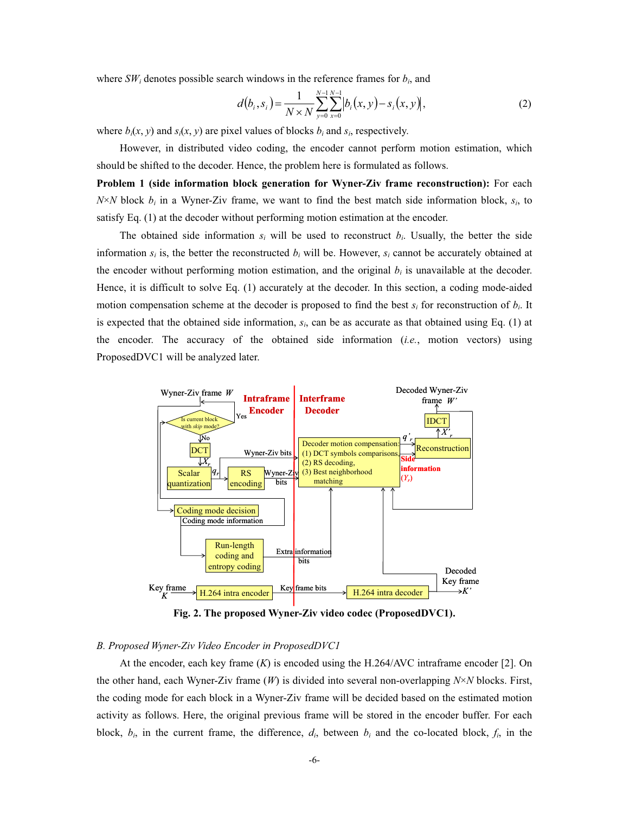where  $SW_i$  denotes possible search windows in the reference frames for  $b_i$ , and

$$
d(b_i, s_i) = \frac{1}{N \times N} \sum_{y=0}^{N-1} \sum_{x=0}^{N-1} |b_i(x, y) - s_i(x, y)|,
$$
 (2)

where  $b_i(x, y)$  and  $s_i(x, y)$  are pixel values of blocks  $b_i$  and  $s_i$ , respectively.

However, in distributed video coding, the encoder cannot perform motion estimation, which should be shifted to the decoder. Hence, the problem here is formulated as follows.

**Problem 1 (side information block generation for Wyner-Ziv frame reconstruction):** For each  $N \times N$  block  $b_i$  in a Wyner-Ziv frame, we want to find the best match side information block,  $s_i$ , to satisfy Eq. (1) at the decoder without performing motion estimation at the encoder.

The obtained side information  $s_i$  will be used to reconstruct  $b_i$ . Usually, the better the side information  $s_i$  is, the better the reconstructed  $b_i$  will be. However,  $s_i$  cannot be accurately obtained at the encoder without performing motion estimation, and the original  $b_i$  is unavailable at the decoder. Hence, it is difficult to solve Eq. (1) accurately at the decoder. In this section, a coding mode-aided motion compensation scheme at the decoder is proposed to find the best *si* for reconstruction of *bi*. It is expected that the obtained side information,  $s_i$ , can be as accurate as that obtained using Eq. (1) at the encoder. The accuracy of the obtained side information (*i.e.*, motion vectors) using ProposedDVC1 will be analyzed later.



**Fig. 2. The proposed Wyner-Ziv video codec (ProposedDVC1).** 

# *B. Proposed Wyner-Ziv Video Encoder in ProposedDVC1*

At the encoder, each key frame (*K*) is encoded using the H.264/AVC intraframe encoder [2]. On the other hand, each Wyner-Ziv frame (*W*) is divided into several non-overlapping *N*×*N* blocks. First, the coding mode for each block in a Wyner-Ziv frame will be decided based on the estimated motion activity as follows. Here, the original previous frame will be stored in the encoder buffer. For each block,  $b_i$ , in the current frame, the difference,  $d_i$ , between  $b_i$  and the co-located block,  $f_i$ , in the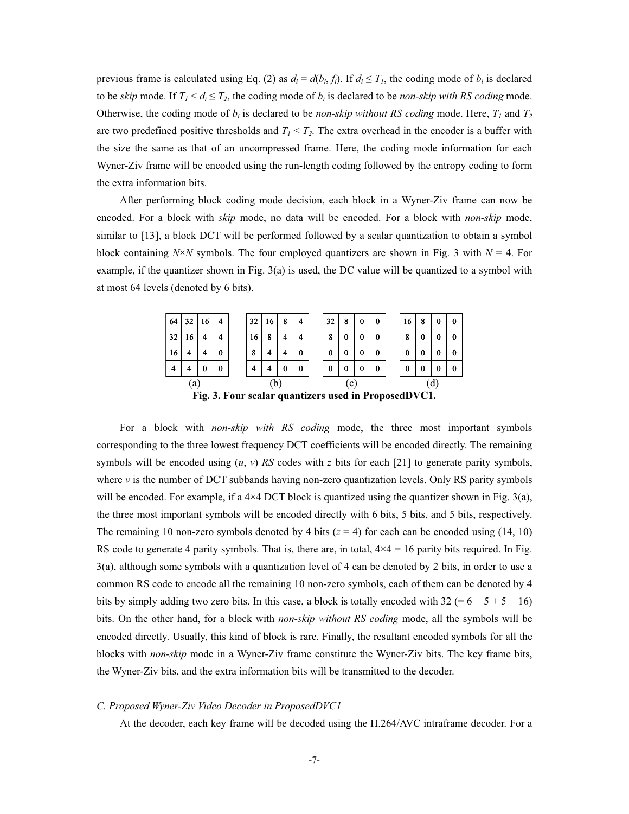previous frame is calculated using Eq. (2) as  $d_i = d(b_i, f_i)$ . If  $d_i \leq T_i$ , the coding mode of  $b_i$  is declared to be *skip* mode. If  $T_1 < d_i \leq T_2$ , the coding mode of  $b_i$  is declared to be *non-skip with RS coding* mode. Otherwise, the coding mode of  $b_i$  is declared to be *non-skip without RS coding* mode. Here,  $T_i$  and  $T_2$ are two predefined positive thresholds and  $T_1 \leq T_2$ . The extra overhead in the encoder is a buffer with the size the same as that of an uncompressed frame. Here, the coding mode information for each Wyner-Ziv frame will be encoded using the run-length coding followed by the entropy coding to form the extra information bits.

 After performing block coding mode decision, each block in a Wyner-Ziv frame can now be encoded. For a block with *skip* mode, no data will be encoded. For a block with *non-skip* mode, similar to [13], a block DCT will be performed followed by a scalar quantization to obtain a symbol block containing  $N \times N$  symbols. The four employed quantizers are shown in Fig. 3 with  $N = 4$ . For example, if the quantizer shown in Fig. 3(a) is used, the DC value will be quantized to a symbol with at most 64 levels (denoted by 6 bits).



For a block with *non-skip with RS coding* mode, the three most important symbols corresponding to the three lowest frequency DCT coefficients will be encoded directly. The remaining symbols will be encoded using  $(u, v)$  *RS* codes with *z* bits for each [21] to generate parity symbols, where *v* is the number of DCT subbands having non-zero quantization levels. Only RS parity symbols will be encoded. For example, if a  $4\times4$  DCT block is quantized using the quantizer shown in Fig. 3(a), the three most important symbols will be encoded directly with 6 bits, 5 bits, and 5 bits, respectively. The remaining 10 non-zero symbols denoted by 4 bits  $(z = 4)$  for each can be encoded using  $(14, 10)$ RS code to generate 4 parity symbols. That is, there are, in total,  $4 \times 4 = 16$  parity bits required. In Fig. 3(a), although some symbols with a quantization level of 4 can be denoted by 2 bits, in order to use a common RS code to encode all the remaining 10 non-zero symbols, each of them can be denoted by 4 bits by simply adding two zero bits. In this case, a block is totally encoded with 32 (=  $6 + 5 + 5 + 16$ ) bits. On the other hand, for a block with *non-skip without RS coding* mode, all the symbols will be encoded directly. Usually, this kind of block is rare. Finally, the resultant encoded symbols for all the blocks with *non-skip* mode in a Wyner-Ziv frame constitute the Wyner-Ziv bits. The key frame bits, the Wyner-Ziv bits, and the extra information bits will be transmitted to the decoder.

# *C. Proposed Wyner-Ziv Video Decoder in ProposedDVC1*

At the decoder, each key frame will be decoded using the H.264/AVC intraframe decoder. For a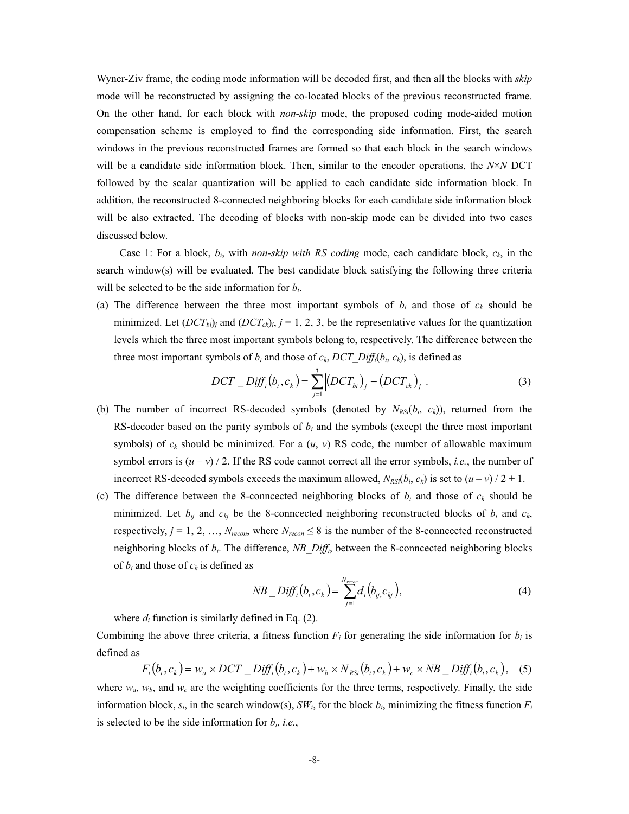Wyner-Ziv frame, the coding mode information will be decoded first, and then all the blocks with *skip* mode will be reconstructed by assigning the co-located blocks of the previous reconstructed frame. On the other hand, for each block with *non-skip* mode, the proposed coding mode-aided motion compensation scheme is employed to find the corresponding side information. First, the search windows in the previous reconstructed frames are formed so that each block in the search windows will be a candidate side information block. Then, similar to the encoder operations, the *N*×*N* DCT followed by the scalar quantization will be applied to each candidate side information block. In addition, the reconstructed 8-connected neighboring blocks for each candidate side information block will be also extracted. The decoding of blocks with non-skip mode can be divided into two cases discussed below.

Case 1: For a block, *bi*, with *non-skip with RS coding* mode, each candidate block, *ck*, in the search window(s) will be evaluated. The best candidate block satisfying the following three criteria will be selected to be the side information for *bi*.

(a) The difference between the three most important symbols of  $b_i$  and those of  $c_k$  should be minimized. Let  $(DCT_{bi})$ <sup>*j*</sup> and  $(DCT_{ck})$ *j*, *j* = 1, 2, 3, be the representative values for the quantization levels which the three most important symbols belong to, respectively. The difference between the three most important symbols of  $b_i$  and those of  $c_k$ ,  $DCT\_Diff_i(b_i, c_k)$ , is defined as

$$
DCT\_Diff_i(b_i, c_k) = \sum_{j=1}^{3} |(DCT_{bi})_j - (DCT_{ck})_j|.
$$
 (3)

- (b) The number of incorrect RS-decoded symbols (denoted by  $N_{RS}(b_i, c_k)$ ), returned from the RS-decoder based on the parity symbols of *bi* and the symbols (except the three most important symbols) of  $c_k$  should be minimized. For a  $(u, v)$  RS code, the number of allowable maximum symbol errors is  $(u - v)$  / 2. If the RS code cannot correct all the error symbols, *i.e.*, the number of incorrect RS-decoded symbols exceeds the maximum allowed,  $N_{RS}(b_i, c_k)$  is set to  $(u - v)/2 + 1$ .
- (c) The difference between the 8-conncected neighboring blocks of  $b_i$  and those of  $c_k$  should be minimized. Let  $b_{ij}$  and  $c_{kj}$  be the 8-conncected neighboring reconstructed blocks of  $b_i$  and  $c_k$ , respectively,  $j = 1, 2, ..., N_{recon}$ , where  $N_{recon} \leq 8$  is the number of the 8-conncected reconstructed neighboring blocks of *bi*. The difference, *NB\_Diffi*, between the 8-conncected neighboring blocks of  $b_i$  and those of  $c_k$  is defined as

$$
NB\_Diff_i(b_i, c_k) = \sum_{j=1}^{N_{recon}} d_i(b_{ij, c_{kj}}),
$$
\n(4)

where  $d_i$  function is similarly defined in Eq.  $(2)$ .

Combining the above three criteria, a fitness function  $F_i$  for generating the side information for  $b_i$  is defined as

$$
F_i(b_i, c_k) = w_a \times DCT\_Diff_i(b_i, c_k) + w_b \times N_{RSi}(b_i, c_k) + w_c \times NB\_Diff_i(b_i, c_k),
$$
 (5)

where  $w_a$ ,  $w_b$ , and  $w_c$  are the weighting coefficients for the three terms, respectively. Finally, the side information block,  $s_i$ , in the search window(s),  $SW_i$ , for the block  $b_i$ , minimizing the fitness function  $F_i$ is selected to be the side information for  $b_i$ , *i.e.*,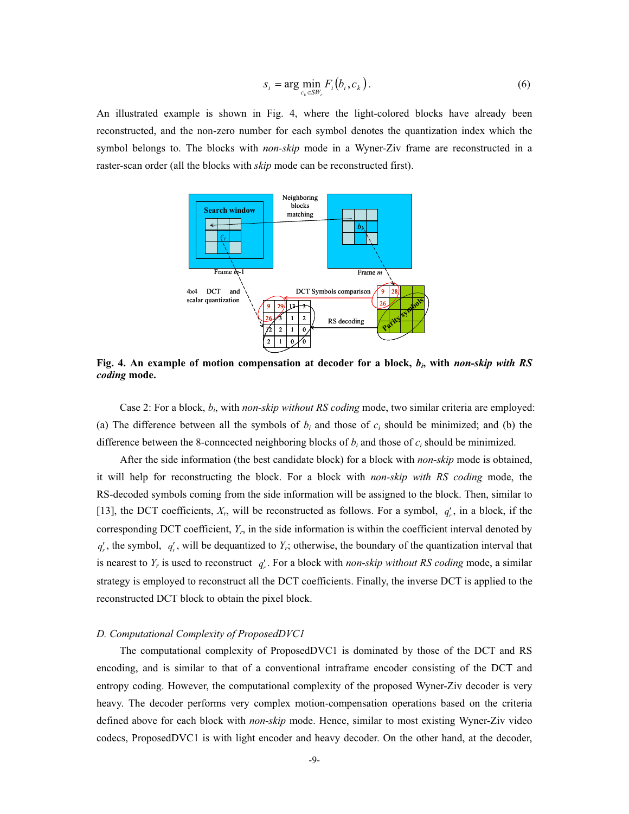$$
s_i = \arg\min_{c_k \in SW_i} F_i(b_i, c_k). \tag{6}
$$

An illustrated example is shown in Fig. 4, where the light-colored blocks have already been reconstructed, and the non-zero number for each symbol denotes the quantization index which the symbol belongs to. The blocks with *non-skip* mode in a Wyner-Ziv frame are reconstructed in a raster-scan order (all the blocks with *skip* mode can be reconstructed first).



**Fig. 4. An example of motion compensation at decoder for a block,** *bi***, with** *non-skip with RS coding* **mode.** 

Case 2: For a block, *bi*, with *non-skip without RS coding* mode, two similar criteria are employed: (a) The difference between all the symbols of  $b_i$  and those of  $c_i$  should be minimized; and (b) the difference between the 8-conncected neighboring blocks of *bi* and those of *ci* should be minimized.

After the side information (the best candidate block) for a block with *non-skip* mode is obtained, it will help for reconstructing the block. For a block with *non-skip with RS coding* mode, the RS-decoded symbols coming from the side information will be assigned to the block. Then, similar to [13], the DCT coefficients,  $X_r$ , will be reconstructed as follows. For a symbol,  $q'_r$ , in a block, if the corresponding DCT coefficient, *Yr*, in the side information is within the coefficient interval denoted by  $q'_r$ , the symbol,  $q'_r$ , will be dequantized to  $Y_r$ ; otherwise, the boundary of the quantization interval that is nearest to  $Y_r$  is used to reconstruct  $q'_r$ . For a block with *non-skip without RS coding* mode, a similar strategy is employed to reconstruct all the DCT coefficients. Finally, the inverse DCT is applied to the reconstructed DCT block to obtain the pixel block.

#### *D. Computational Complexity of ProposedDVC1*

 The computational complexity of ProposedDVC1 is dominated by those of the DCT and RS encoding, and is similar to that of a conventional intraframe encoder consisting of the DCT and entropy coding. However, the computational complexity of the proposed Wyner-Ziv decoder is very heavy. The decoder performs very complex motion-compensation operations based on the criteria defined above for each block with *non-skip* mode. Hence, similar to most existing Wyner-Ziv video codecs, ProposedDVC1 is with light encoder and heavy decoder. On the other hand, at the decoder,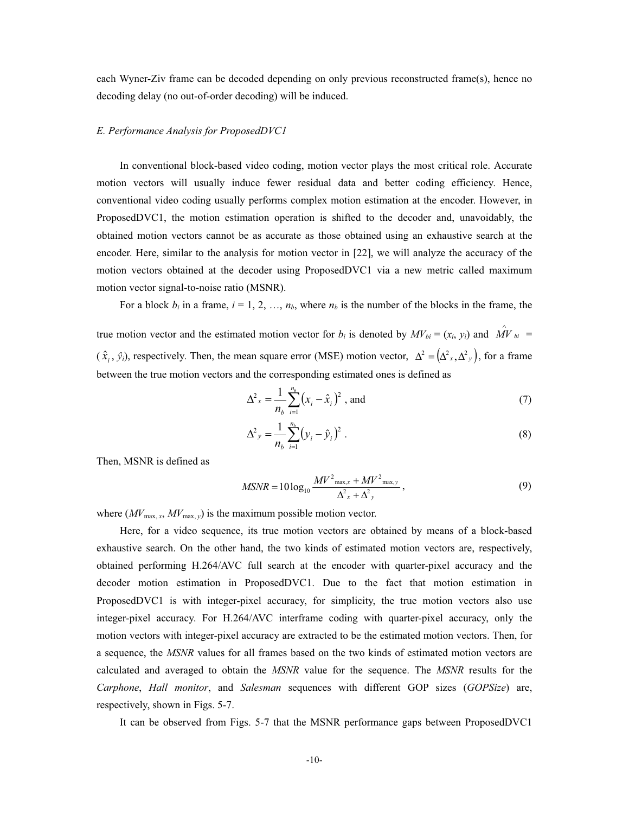each Wyner-Ziv frame can be decoded depending on only previous reconstructed frame(s), hence no decoding delay (no out-of-order decoding) will be induced.

# *E. Performance Analysis for ProposedDVC1*

 In conventional block-based video coding, motion vector plays the most critical role. Accurate motion vectors will usually induce fewer residual data and better coding efficiency. Hence, conventional video coding usually performs complex motion estimation at the encoder. However, in ProposedDVC1, the motion estimation operation is shifted to the decoder and, unavoidably, the obtained motion vectors cannot be as accurate as those obtained using an exhaustive search at the encoder. Here, similar to the analysis for motion vector in [22], we will analyze the accuracy of the motion vectors obtained at the decoder using ProposedDVC1 via a new metric called maximum motion vector signal-to-noise ratio (MSNR).

For a block  $b_i$  in a frame,  $i = 1, 2, ..., n_b$ , where  $n_b$  is the number of the blocks in the frame, the

true motion vector and the estimated motion vector for *b<sub>i</sub>* is denoted by  $MV_{bi} = (x_i, y_i)$  and  $\hat{MV}_{bi} =$  $(\hat{x}_i, \hat{y}_i)$ , respectively. Then, the mean square error (MSE) motion vector,  $\Delta^2 = (\Delta^2 x, \Delta^2 y)$ , for a frame between the true motion vectors and the corresponding estimated ones is defined as

$$
\Delta^2 x = \frac{1}{n_b} \sum_{i=1}^{n_b} (x_i - \hat{x}_i)^2
$$
, and (7)

$$
\Delta^2 y = \frac{1}{n_b} \sum_{i=1}^{n_b} (y_i - \hat{y}_i)^2.
$$
 (8)

Then, MSNR is defined as

$$
MSNR = 10\log_{10}\frac{MV^2_{\text{max},x} + MV^2_{\text{max},y}}{\Delta_{x}^2 + \Delta_{y}^2},
$$
\n(9)

where  $(MV_{\text{max}, x}, MV_{\text{max}, y})$  is the maximum possible motion vector.

 Here, for a video sequence, its true motion vectors are obtained by means of a block-based exhaustive search. On the other hand, the two kinds of estimated motion vectors are, respectively, obtained performing H.264/AVC full search at the encoder with quarter-pixel accuracy and the decoder motion estimation in ProposedDVC1. Due to the fact that motion estimation in ProposedDVC1 is with integer-pixel accuracy, for simplicity, the true motion vectors also use integer-pixel accuracy. For H.264/AVC interframe coding with quarter-pixel accuracy, only the motion vectors with integer-pixel accuracy are extracted to be the estimated motion vectors. Then, for a sequence, the *MSNR* values for all frames based on the two kinds of estimated motion vectors are calculated and averaged to obtain the *MSNR* value for the sequence. The *MSNR* results for the *Carphone*, *Hall monitor*, and *Salesman* sequences with different GOP sizes (*GOPSize*) are, respectively, shown in Figs. 5-7.

It can be observed from Figs. 5-7 that the MSNR performance gaps between ProposedDVC1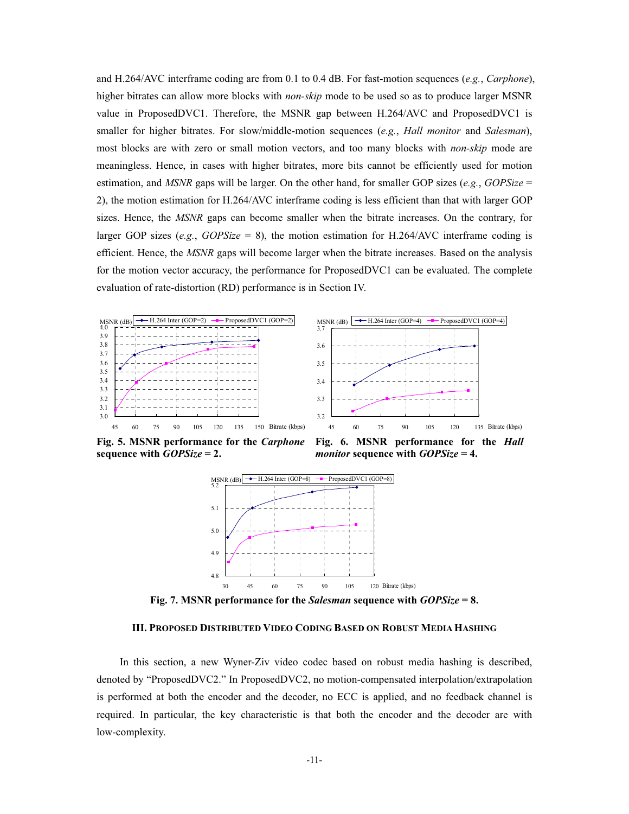and H.264/AVC interframe coding are from 0.1 to 0.4 dB. For fast-motion sequences (*e.g.*, *Carphone*), higher bitrates can allow more blocks with *non-skip* mode to be used so as to produce larger MSNR value in ProposedDVC1. Therefore, the MSNR gap between H.264/AVC and ProposedDVC1 is smaller for higher bitrates. For slow/middle-motion sequences (*e.g.*, *Hall monitor* and *Salesman*), most blocks are with zero or small motion vectors, and too many blocks with *non-skip* mode are meaningless. Hence, in cases with higher bitrates, more bits cannot be efficiently used for motion estimation, and *MSNR* gaps will be larger. On the other hand, for smaller GOP sizes (*e.g.*, *GOPSize* = 2), the motion estimation for H.264/AVC interframe coding is less efficient than that with larger GOP sizes. Hence, the *MSNR* gaps can become smaller when the bitrate increases. On the contrary, for larger GOP sizes (*e.g.*,  $GOPSize = 8$ ), the motion estimation for H.264/AVC interframe coding is efficient. Hence, the *MSNR* gaps will become larger when the bitrate increases. Based on the analysis for the motion vector accuracy, the performance for ProposedDVC1 can be evaluated. The complete evaluation of rate-distortion (RD) performance is in Section IV.





**Fig. 5. MSNR performance for the** *Carphone* **sequence with** *GOPSize* **= 2.** 

**Fig. 6. MSNR performance for the** *Hall monitor* **sequence with** *GOPSize* **= 4.** 



**Fig. 7. MSNR performance for the** *Salesman* **sequence with** *GOPSize* **= 8.** 

# **III. PROPOSED DISTRIBUTED VIDEO CODING BASED ON ROBUST MEDIA HASHING**

In this section, a new Wyner-Ziv video codec based on robust media hashing is described, denoted by "ProposedDVC2." In ProposedDVC2, no motion-compensated interpolation/extrapolation is performed at both the encoder and the decoder, no ECC is applied, and no feedback channel is required. In particular, the key characteristic is that both the encoder and the decoder are with low-complexity.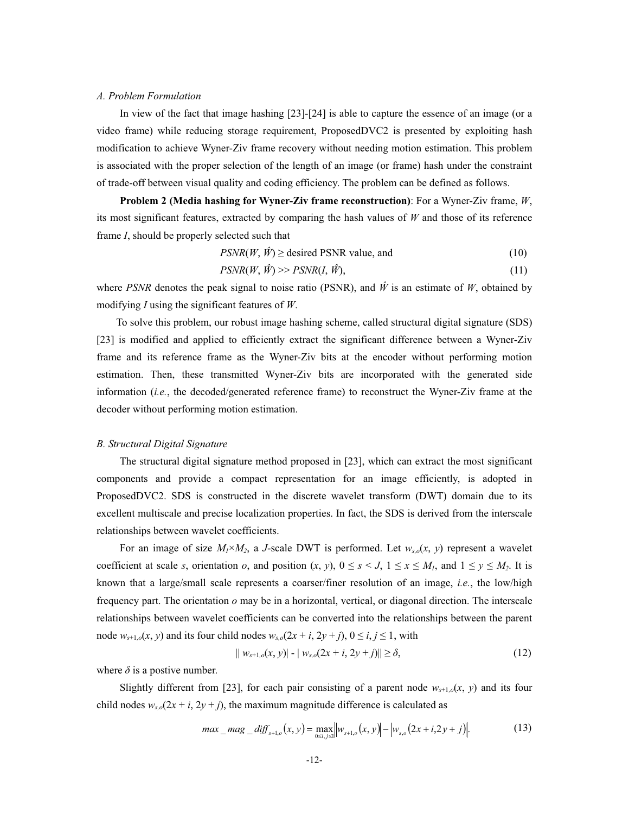# *A. Problem Formulation*

In view of the fact that image hashing [23]-[24] is able to capture the essence of an image (or a video frame) while reducing storage requirement, ProposedDVC2 is presented by exploiting hash modification to achieve Wyner-Ziv frame recovery without needing motion estimation. This problem is associated with the proper selection of the length of an image (or frame) hash under the constraint of trade-off between visual quality and coding efficiency. The problem can be defined as follows.

**Problem 2 (Media hashing for Wyner-Ziv frame reconstruction)**: For a Wyner-Ziv frame, *W*, its most significant features, extracted by comparing the hash values of *W* and those of its reference frame *I*, should be properly selected such that

$$
PSNR(W, \hat{W}) \ge \text{desired PSNR value, and} \tag{10}
$$

$$
PSNR(W, \hat{W}) \gg PSNR(I, \hat{W}),\tag{11}
$$

where *PSNR* denotes the peak signal to noise ratio (PSNR), and  $\hat{W}$  is an estimate of *W*, obtained by modifying *I* using the significant features of *W*.

 To solve this problem, our robust image hashing scheme, called structural digital signature (SDS) [23] is modified and applied to efficiently extract the significant difference between a Wyner-Ziv frame and its reference frame as the Wyner-Ziv bits at the encoder without performing motion estimation. Then, these transmitted Wyner-Ziv bits are incorporated with the generated side information (*i.e.*, the decoded/generated reference frame) to reconstruct the Wyner-Ziv frame at the decoder without performing motion estimation.

#### *B. Structural Digital Signature*

 The structural digital signature method proposed in [23], which can extract the most significant components and provide a compact representation for an image efficiently, is adopted in ProposedDVC2. SDS is constructed in the discrete wavelet transform (DWT) domain due to its excellent multiscale and precise localization properties. In fact, the SDS is derived from the interscale relationships between wavelet coefficients.

For an image of size  $M_1 \times M_2$ , a *J*-scale DWT is performed. Let  $w_{s,o}(x, y)$  represent a wavelet coefficient at scale *s*, orientation *o*, and position  $(x, y)$ ,  $0 \le s \le J$ ,  $1 \le x \le M_l$ , and  $1 \le y \le M_2$ . It is known that a large/small scale represents a coarser/finer resolution of an image, *i.e.*, the low/high frequency part. The orientation *o* may be in a horizontal, vertical, or diagonal direction. The interscale relationships between wavelet coefficients can be converted into the relationships between the parent node  $w_{s+1,o}(x, y)$  and its four child nodes  $w_{s,o}(2x + i, 2y + j)$ ,  $0 \le i, j \le 1$ , with

$$
|| w_{s+1,o}(x, y) | - | w_{s,o}(2x + i, 2y + j)|| \ge \delta,
$$
\n(12)

where  $\delta$  is a postive number.

Slightly different from [23], for each pair consisting of a parent node  $w_{s+1,o}(x, y)$  and its four child nodes  $w_{s,o}(2x + i, 2y + j)$ , the maximum magnitude difference is calculated as

$$
max\_mag\_diff_{s+1,o}(x, y) = \max_{0 \le i, j \le l} ||w_{s+1,o}(x, y)|| - |w_{s,o}(2x + i, 2y + j)||. \tag{13}
$$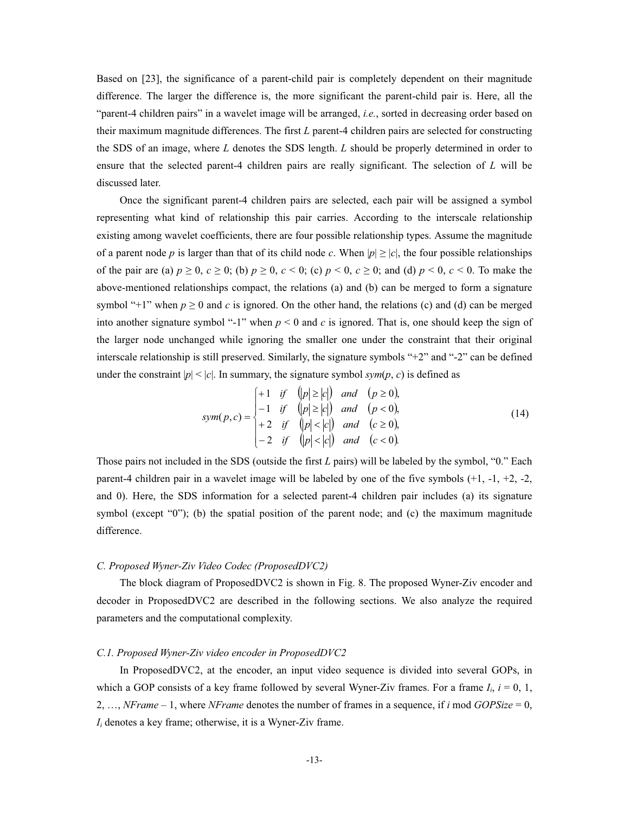Based on [23], the significance of a parent-child pair is completely dependent on their magnitude difference. The larger the difference is, the more significant the parent-child pair is. Here, all the "parent-4 children pairs" in a wavelet image will be arranged, *i.e.*, sorted in decreasing order based on their maximum magnitude differences. The first *L* parent-4 children pairs are selected for constructing the SDS of an image, where *L* denotes the SDS length. *L* should be properly determined in order to ensure that the selected parent-4 children pairs are really significant. The selection of *L* will be discussed later.

 Once the significant parent-4 children pairs are selected, each pair will be assigned a symbol representing what kind of relationship this pair carries. According to the interscale relationship existing among wavelet coefficients, there are four possible relationship types. Assume the magnitude of a parent node *p* is larger than that of its child node *c*. When  $|p| \ge |c|$ , the four possible relationships of the pair are (a)  $p \ge 0$ ,  $c \ge 0$ ; (b)  $p \ge 0$ ,  $c < 0$ ; (c)  $p < 0$ ,  $c \ge 0$ ; and (d)  $p < 0$ ,  $c < 0$ . To make the above-mentioned relationships compact, the relations (a) and (b) can be merged to form a signature symbol "+1" when  $p \ge 0$  and c is ignored. On the other hand, the relations (c) and (d) can be merged into another signature symbol "-1" when  $p < 0$  and  $c$  is ignored. That is, one should keep the sign of the larger node unchanged while ignoring the smaller one under the constraint that their original interscale relationship is still preserved. Similarly, the signature symbols "+2" and "-2" can be defined under the constraint  $|p| \le |c|$ . In summary, the signature symbol  $sym(p, c)$  is defined as

 $\mathbb{Z}$  and  $\mathbb{Z}$ 

$$
sym(p, c) = \begin{cases} +1 & \text{if } & (|p| \ge |c|) \text{ and } (p \ge 0), \\ -1 & \text{if } & (|p| \ge |c|) \text{ and } (p < 0), \\ +2 & \text{if } & (|p| < |c|) \text{ and } (c \ge 0), \\ -2 & \text{if } & (|p| < |c|) \text{ and } (c < 0). \end{cases}
$$
(14)

Those pairs not included in the SDS (outside the first *L* pairs) will be labeled by the symbol, "0." Each parent-4 children pair in a wavelet image will be labeled by one of the five symbols (+1, -1, +2, -2, and 0). Here, the SDS information for a selected parent-4 children pair includes (a) its signature symbol (except "0"); (b) the spatial position of the parent node; and (c) the maximum magnitude difference.

#### *C. Proposed Wyner-Ziv Video Codec (ProposedDVC2)*

 The block diagram of ProposedDVC2 is shown in Fig. 8. The proposed Wyner-Ziv encoder and decoder in ProposedDVC2 are described in the following sections. We also analyze the required parameters and the computational complexity.

# *C.1. Proposed Wyner-Ziv video encoder in ProposedDVC2*

In ProposedDVC2, at the encoder, an input video sequence is divided into several GOPs, in which a GOP consists of a key frame followed by several Wyner-Ziv frames. For a frame  $I_i$ ,  $i = 0, 1$ , 2, …, *NFrame* – 1, where *NFrame* denotes the number of frames in a sequence, if *i* mod *GOPSize* = 0,  $I_i$  denotes a key frame; otherwise, it is a Wyner-Ziv frame.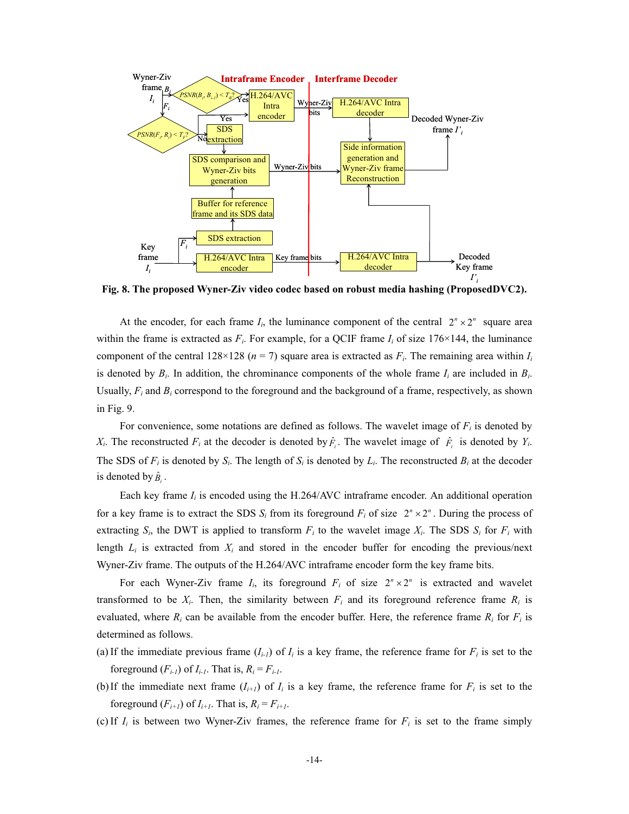

**Fig. 8. The proposed Wyner-Ziv video codec based on robust media hashing (ProposedDVC2).** 

At the encoder, for each frame  $I_i$ , the luminance component of the central  $2^n \times 2^n$  square area within the frame is extracted as  $F_i$ . For example, for a QCIF frame  $I_i$  of size 176×144, the luminance component of the central  $128\times128$  ( $n = 7$ ) square area is extracted as  $F_i$ . The remaining area within  $I_i$ is denoted by  $B_i$ . In addition, the chrominance components of the whole frame  $I_i$  are included in  $B_i$ . Usually, *Fi* and *Bi* correspond to the foreground and the background of a frame, respectively, as shown in Fig. 9.

For convenience, some notations are defined as follows. The wavelet image of  $F_i$  is denoted by *X<sub>i</sub>*. The reconstructed  $F_i$  at the decoder is denoted by  $\hat{F}_i$ . The wavelet image of  $\hat{F}_i$  is denoted by  $Y_i$ . The SDS of  $F_i$  is denoted by  $S_i$ . The length of  $S_i$  is denoted by  $L_i$ . The reconstructed  $B_i$  at the decoder is denoted by  $\hat{B}_i$ .

Each key frame  $I_i$  is encoded using the H.264/AVC intraframe encoder. An additional operation for a key frame is to extract the SDS  $S_i$  from its foreground  $F_i$  of size  $2^n \times 2^n$ . During the process of extracting  $S_i$ , the DWT is applied to transform  $F_i$  to the wavelet image  $X_i$ . The SDS  $S_i$  for  $F_i$  with length  $L_i$  is extracted from  $X_i$  and stored in the encoder buffer for encoding the previous/next Wyner-Ziv frame. The outputs of the H.264/AVC intraframe encoder form the key frame bits.

For each Wyner-Ziv frame  $I_i$ , its foreground  $F_i$  of size  $2^n \times 2^n$  is extracted and wavelet transformed to be  $X_i$ . Then, the similarity between  $F_i$  and its foreground reference frame  $R_i$  is evaluated, where  $R_i$  can be available from the encoder buffer. Here, the reference frame  $R_i$  for  $F_i$  is determined as follows.

- (a) If the immediate previous frame  $(I_{i\text{-}l})$  of  $I_i$  is a key frame, the reference frame for  $F_i$  is set to the foreground  $(F_{i-1})$  of  $I_{i-1}$ . That is,  $R_i = F_{i-1}$ .
- (b) If the immediate next frame  $(I_{i+1})$  of  $I_i$  is a key frame, the reference frame for  $F_i$  is set to the foreground  $(F_{i+1})$  of  $I_{i+1}$ . That is,  $R_i = F_{i+1}$ .
- (c) If  $I_i$  is between two Wyner-Ziv frames, the reference frame for  $F_i$  is set to the frame simply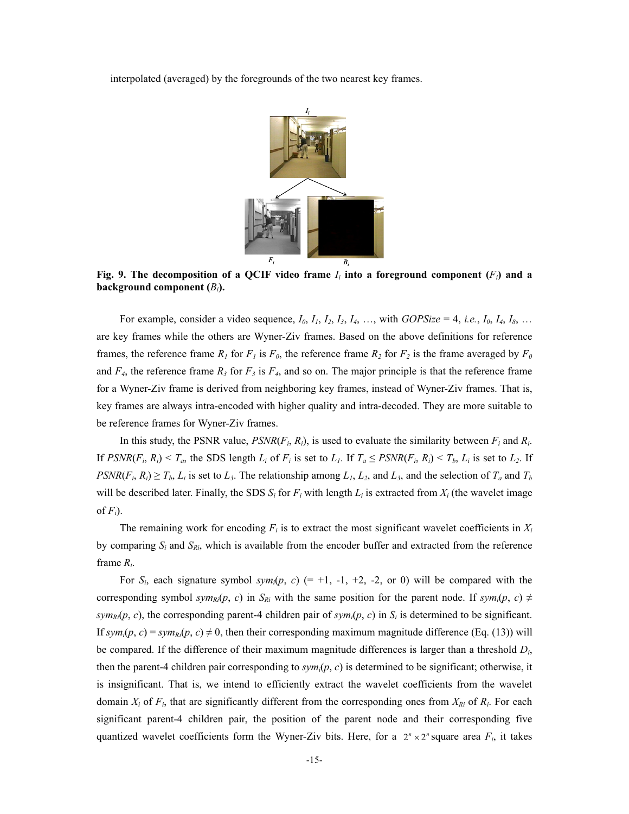interpolated (averaged) by the foregrounds of the two nearest key frames.



Fig. 9. The decomposition of a QCIF video frame  $I_i$  into a foreground component  $(F_i)$  and a **background component (***Bi***).**

For example, consider a video sequence,  $I_0$ ,  $I_1$ ,  $I_2$ ,  $I_3$ ,  $I_4$ , …, with *GOPSize* = 4, *i.e.*,  $I_0$ ,  $I_4$ ,  $I_8$ , … are key frames while the others are Wyner-Ziv frames. Based on the above definitions for reference frames, the reference frame  $R_1$  for  $F_1$  is  $F_0$ , the reference frame  $R_2$  for  $F_2$  is the frame averaged by  $F_0$ and  $F_4$ , the reference frame  $R_3$  for  $F_3$  is  $F_4$ , and so on. The major principle is that the reference frame for a Wyner-Ziv frame is derived from neighboring key frames, instead of Wyner-Ziv frames. That is, key frames are always intra-encoded with higher quality and intra-decoded. They are more suitable to be reference frames for Wyner-Ziv frames.

In this study, the PSNR value,  $PSNR(F_i, R_i)$ , is used to evaluate the similarity between  $F_i$  and  $R_i$ . If  $PSNR(F_i, R_i) < T_a$ , the SDS length  $L_i$  of  $F_i$  is set to  $L_i$ . If  $T_a \leq PSNR(F_i, R_i) < T_b$ ,  $L_i$  is set to  $L_2$ . If  $PSNR(F_i, R_i) \geq T_b$ ,  $L_i$  is set to  $L_3$ . The relationship among  $L_1, L_2$ , and  $L_3$ , and the selection of  $T_a$  and  $T_b$ will be described later. Finally, the SDS  $S_i$  for  $F_i$  with length  $L_i$  is extracted from  $X_i$  (the wavelet image of  $F_i$ ).

The remaining work for encoding  $F_i$  is to extract the most significant wavelet coefficients in  $X_i$ by comparing  $S_i$  and  $S_{Ri}$ , which is available from the encoder buffer and extracted from the reference frame *Ri*.

For  $S_i$ , each signature symbol  $sym_i(p, c)$  (= +1, -1, +2, -2, or 0) will be compared with the corresponding symbol *sym<sub>RI</sub>*(*p*, *c*) in *S<sub>Ri</sub>* with the same position for the parent node. If  $sym_i(p, c) \neq$  $sym_{Ri}(p, c)$ , the corresponding parent-4 children pair of *sym<sub>i</sub>*( $p, c$ ) in  $S_i$  is determined to be significant. If  $sym_i(p, c) = sym_{R_i}(p, c) \neq 0$ , then their corresponding maximum magnitude difference (Eq. (13)) will be compared. If the difference of their maximum magnitude differences is larger than a threshold *Di*, then the parent-4 children pair corresponding to *symi*(*p*, *c*) is determined to be significant; otherwise, it is insignificant. That is, we intend to efficiently extract the wavelet coefficients from the wavelet domain  $X_i$  of  $F_i$ , that are significantly different from the corresponding ones from  $X_{R_i}$  of  $R_i$ . For each significant parent-4 children pair, the position of the parent node and their corresponding five quantized wavelet coefficients form the Wyner-Ziv bits. Here, for a  $2^n \times 2^n$  square area  $F_i$ , it takes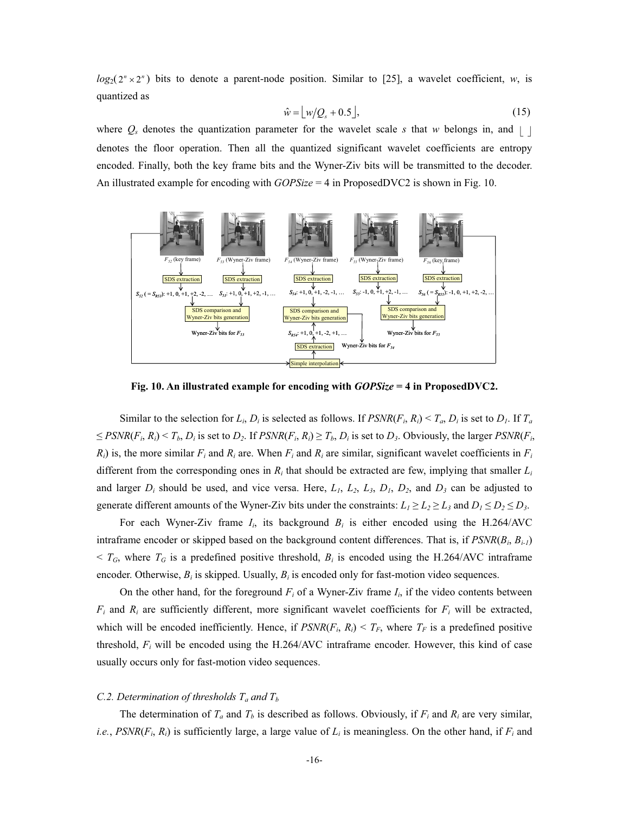$log_2(2^n \times 2^n)$  bits to denote a parent-node position. Similar to [25], a wavelet coefficient, *w*, is quantized as

$$
\hat{w} = \lfloor w/Q_s + 0.5 \rfloor, \tag{15}
$$

where  $Q_s$  denotes the quantization parameter for the wavelet scale *s* that *w* belongs in, and  $| \cdot |$ denotes the floor operation. Then all the quantized significant wavelet coefficients are entropy encoded. Finally, both the key frame bits and the Wyner-Ziv bits will be transmitted to the decoder. An illustrated example for encoding with *GOPSize* = 4 in ProposedDVC2 is shown in Fig. 10.



**Fig. 10. An illustrated example for encoding with** *GOPSize* **= 4 in ProposedDVC2.** 

Similar to the selection for  $L_i$ ,  $D_i$  is selected as follows. If  $PSNR(F_i, R_i) < T_a$ ,  $D_i$  is set to  $D_i$ . If  $T_a$  $\leq$  *PSNR*(*F<sub>i</sub>*, *R<sub>i</sub>*)  $\lt$  *T<sub>b</sub>*, *D<sub>i</sub>* is set to *D<sub>2</sub>*. If *PSNR*(*F<sub>i</sub>*, *R<sub>i</sub>*)  $\geq$  *T<sub>b</sub>*, *D<sub>i</sub>* is set to *D<sub>3</sub>*. Obviously, the larger *PSNR*(*F<sub>i</sub>*,  $R_i$ ) is, the more similar  $F_i$  and  $R_i$  are. When  $F_i$  and  $R_i$  are similar, significant wavelet coefficients in  $F_i$ different from the corresponding ones in  $R_i$  that should be extracted are few, implying that smaller  $L_i$ and larger  $D_i$  should be used, and vice versa. Here,  $L_1$ ,  $L_2$ ,  $L_3$ ,  $D_1$ ,  $D_2$ , and  $D_3$  can be adjusted to generate different amounts of the Wyner-Ziv bits under the constraints:  $L_1 \ge L_2 \ge L_3$  and  $D_1 \le D_2 \le D_3$ .

For each Wyner-Ziv frame  $I_i$ , its background  $B_i$  is either encoded using the H.264/AVC intraframe encoder or skipped based on the background content differences. That is, if *PSNR*(*Bi*, *Bi-1*)  $\leq T_G$ , where  $T_G$  is a predefined positive threshold,  $B_i$  is encoded using the H.264/AVC intraframe encoder. Otherwise,  $B_i$  is skipped. Usually,  $B_i$  is encoded only for fast-motion video sequences.

On the other hand, for the foreground  $F_i$  of a Wyner-Ziv frame  $I_i$ , if the video contents between  $F_i$  and  $R_i$  are sufficiently different, more significant wavelet coefficients for  $F_i$  will be extracted, which will be encoded inefficiently. Hence, if  $PSNR(F_i, R_i) \leq T_F$ , where  $T_F$  is a predefined positive threshold,  $F_i$  will be encoded using the H.264/AVC intraframe encoder. However, this kind of case usually occurs only for fast-motion video sequences.

# *C.2. Determination of thresholds*  $T_a$  *and*  $T_b$

The determination of  $T_a$  and  $T_b$  is described as follows. Obviously, if  $F_i$  and  $R_i$  are very similar, *i.e.*,  $PSNR(F_i, R_i)$  is sufficiently large, a large value of  $L_i$  is meaningless. On the other hand, if  $F_i$  and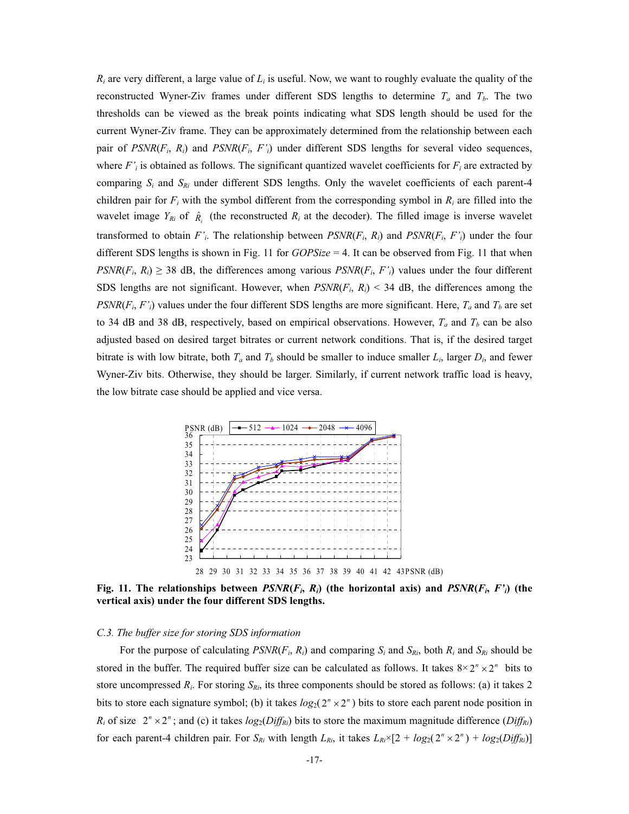$R_i$  are very different, a large value of  $L_i$  is useful. Now, we want to roughly evaluate the quality of the reconstructed Wyner-Ziv frames under different SDS lengths to determine  $T_a$  and  $T_b$ . The two thresholds can be viewed as the break points indicating what SDS length should be used for the current Wyner-Ziv frame. They can be approximately determined from the relationship between each pair of  $PSNR(F_i, R_i)$  and  $PSNR(F_i, F'_i)$  under different SDS lengths for several video sequences, where  $F'$ *i* is obtained as follows. The significant quantized wavelet coefficients for  $F_i$  are extracted by comparing  $S_i$  and  $S_{Ri}$  under different SDS lengths. Only the wavelet coefficients of each parent-4 children pair for  $F_i$  with the symbol different from the corresponding symbol in  $R_i$  are filled into the wavelet image  $Y_{Ri}$  of  $\hat{R}_i$  (the reconstructed  $R_i$  at the decoder). The filled image is inverse wavelet transformed to obtain  $F'$ <sup>*i*</sup>. The relationship between  $PSNR(F_i, R_i)$  and  $PSNR(F_i, F'$ <sup>*i*</sup>) under the four different SDS lengths is shown in Fig. 11 for *GOPSize* = 4. It can be observed from Fig. 11 that when  $PSNR(F_i, R_i) \geq 38$  dB, the differences among various  $PSNR(F_i, F'_i)$  values under the four different SDS lengths are not significant. However, when  $PSNR(F_i, R_i)$  < 34 dB, the differences among the  $PSNR(F_i, F'_i)$  values under the four different SDS lengths are more significant. Here,  $T_a$  and  $T_b$  are set to 34 dB and 38 dB, respectively, based on empirical observations. However,  $T_a$  and  $T_b$  can be also adjusted based on desired target bitrates or current network conditions. That is, if the desired target bitrate is with low bitrate, both  $T_a$  and  $T_b$  should be smaller to induce smaller  $L_i$ , larger  $D_i$ , and fewer Wyner-Ziv bits. Otherwise, they should be larger. Similarly, if current network traffic load is heavy, the low bitrate case should be applied and vice versa.



Fig. 11. The relationships between  $PSNR(F_i, R_i)$  (the horizontal axis) and  $PSNR(F_i, F_i)$  (the **vertical axis) under the four different SDS lengths.** 

# *C.3. The buffer size for storing SDS information*

For the purpose of calculating  $PSNR(F_i, R_i)$  and comparing  $S_i$  and  $S_{R_i}$ , both  $R_i$  and  $S_{R_i}$  should be stored in the buffer. The required buffer size can be calculated as follows. It takes  $8 \times 2^n \times 2^n$  bits to store uncompressed  $R_i$ . For storing  $S_{R_i}$ , its three components should be stored as follows: (a) it takes 2 bits to store each signature symbol; (b) it takes  $log_2(2^n \times 2^n)$  bits to store each parent node position in  $R_i$  of size  $2^n \times 2^n$ ; and (c) it takes  $log_2(Dif f_{Ri})$  bits to store the maximum magnitude difference (*Diff<sub>Ri</sub>*) for each parent-4 children pair. For  $S_{Ri}$  with length  $L_{Ri}$ , it takes  $L_{Ri} \times [2 + log_2(2^n \times 2^n) + log_2(Diff_{Ri})]$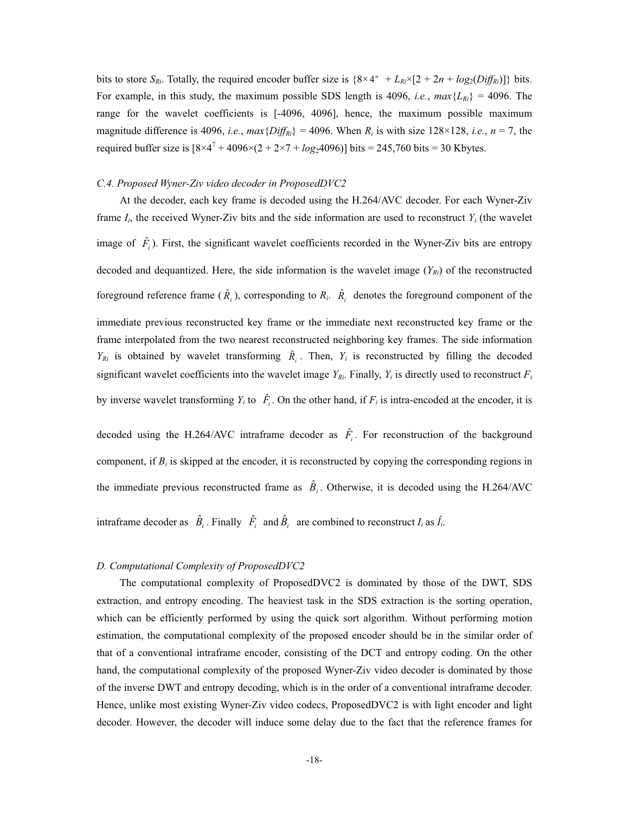bits to store  $S_{Ri}$ . Totally, the required encoder buffer size is  $\{8 \times 4^n + L_{Ri} \times [2 + 2n + log_2(Diff_{Ri})]\}$  bits. For example, in this study, the maximum possible SDS length is 4096, *i.e.*,  $max{L_{Ri}}$  = 4096. The range for the wavelet coefficients is [-4096, 4096], hence, the maximum possible maximum magnitude difference is 4096, *i.e.*,  $max\{Diff_{Ri}\} = 4096$ . When  $R_i$  is with size 128×128, *i.e.*,  $n = 7$ , the required buffer size is  $[8 \times 4^7 + 4096 \times (2 + 2 \times 7 + log_2 4096)]$  bits = 245,760 bits = 30 Kbytes.

#### *C.4. Proposed Wyner-Ziv video decoder in ProposedDVC2*

 At the decoder, each key frame is decoded using the H.264/AVC decoder. For each Wyner-Ziv frame  $I_i$ , the received Wyner-Ziv bits and the side information are used to reconstruct  $Y_i$  (the wavelet image of  $\hat{F}_i$ ). First, the significant wavelet coefficients recorded in the Wyner-Ziv bits are entropy decoded and dequantized. Here, the side information is the wavelet image  $(Y_{Ri})$  of the reconstructed foreground reference frame  $(\hat{R}_i)$ , corresponding to  $R_i$ .  $\hat{R}_i$  denotes the foreground component of the immediate previous reconstructed key frame or the immediate next reconstructed key frame or the frame interpolated from the two nearest reconstructed neighboring key frames. The side information  $Y_{Ri}$  is obtained by wavelet transforming  $\hat{R}_i$ . Then,  $Y_i$  is reconstructed by filling the decoded significant wavelet coefficients into the wavelet image  $Y_{Ri}$ . Finally,  $Y_i$  is directly used to reconstruct  $F_i$ 

by inverse wavelet transforming  $Y_i$  to  $\hat{F}_i$ . On the other hand, if  $F_i$  is intra-encoded at the encoder, it is

decoded using the H.264/AVC intraframe decoder as  $\hat{F}_i$ . For reconstruction of the background component, if  $B_i$  is skipped at the encoder, it is reconstructed by copying the corresponding regions in the immediate previous reconstructed frame as  $\hat{B}_i$ . Otherwise, it is decoded using the H.264/AVC intraframe decoder as  $\hat{B}_i$ . Finally  $\hat{F}_i$  and  $\hat{B}_i$  are combined to reconstruct  $I_i$  as  $\hat{I}_i$ .

#### *D. Computational Complexity of ProposedDVC2*

 The computational complexity of ProposedDVC2 is dominated by those of the DWT, SDS extraction, and entropy encoding. The heaviest task in the SDS extraction is the sorting operation, which can be efficiently performed by using the quick sort algorithm. Without performing motion estimation, the computational complexity of the proposed encoder should be in the similar order of that of a conventional intraframe encoder, consisting of the DCT and entropy coding. On the other hand, the computational complexity of the proposed Wyner-Ziv video decoder is dominated by those of the inverse DWT and entropy decoding, which is in the order of a conventional intraframe decoder. Hence, unlike most existing Wyner-Ziv video codecs, ProposedDVC2 is with light encoder and light decoder. However, the decoder will induce some delay due to the fact that the reference frames for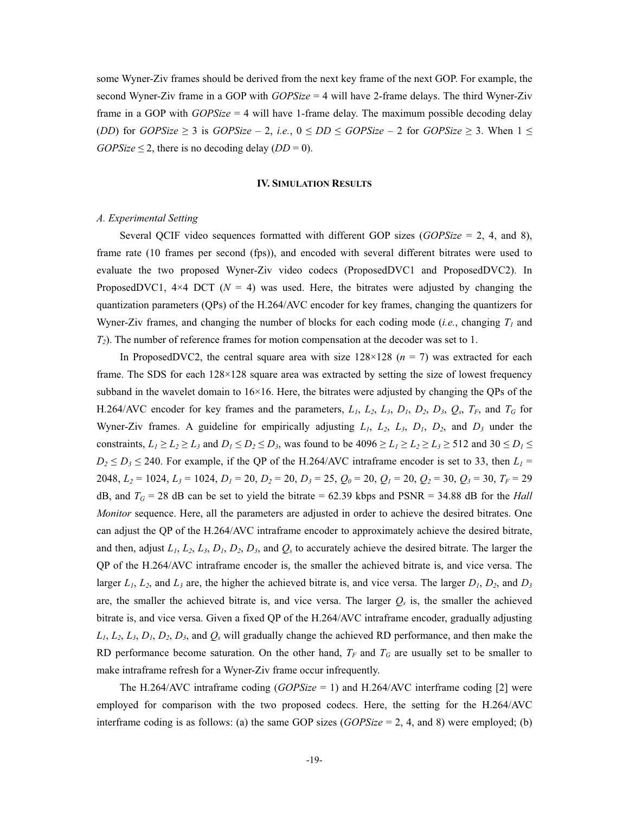some Wyner-Ziv frames should be derived from the next key frame of the next GOP. For example, the second Wyner-Ziv frame in a GOP with *GOPSize* = 4 will have 2-frame delays. The third Wyner-Ziv frame in a GOP with *GOPSize* = 4 will have 1-frame delay. The maximum possible decoding delay (*DD*) for *GOPSize*  $\geq$  3 is *GOPSize* – 2, *i.e.*,  $0 \leq DD \leq GOPSize - 2$  for *GOPSize*  $\geq$  3. When  $1 \leq$ *GOPSize*  $\leq$  2, there is no decoding delay (*DD* = 0).

## **IV. SIMULATION RESULTS**

# *A. Experimental Setting*

 Several QCIF video sequences formatted with different GOP sizes (*GOPSize* = 2, 4, and 8), frame rate (10 frames per second (fps)), and encoded with several different bitrates were used to evaluate the two proposed Wyner-Ziv video codecs (ProposedDVC1 and ProposedDVC2). In ProposedDVC1,  $4\times4$  DCT ( $N = 4$ ) was used. Here, the bitrates were adjusted by changing the quantization parameters (QPs) of the H.264/AVC encoder for key frames, changing the quantizers for Wyner-Ziv frames, and changing the number of blocks for each coding mode (*i.e.*, changing  $T_1$  and *T2*). The number of reference frames for motion compensation at the decoder was set to 1.

In ProposedDVC2, the central square area with size  $128 \times 128$  ( $n = 7$ ) was extracted for each frame. The SDS for each 128×128 square area was extracted by setting the size of lowest frequency subband in the wavelet domain to 16×16. Here, the bitrates were adjusted by changing the QPs of the H.264/AVC encoder for key frames and the parameters,  $L_1$ ,  $L_2$ ,  $L_3$ ,  $D_1$ ,  $D_2$ ,  $D_3$ ,  $Q_s$ ,  $T_F$ , and  $T_G$  for Wyner-Ziv frames. A guideline for empirically adjusting  $L_1$ ,  $L_2$ ,  $L_3$ ,  $D_1$ ,  $D_2$ , and  $D_3$  under the constraints,  $L_1 \ge L_2 \ge L_3$  and  $D_1 \le D_2 \le D_3$ , was found to be 4096  $\ge L_1 \ge L_2 \ge L_3 \ge 512$  and  $30 \le D_1 \le$  $D_2 \le D_3 \le 240$ . For example, if the QP of the H.264/AVC intraframe encoder is set to 33, then  $L_1 =$ 2048, *L2* = 1024, *L3* = 1024, *D1* = 20, *D2* = 20, *D3* = 25, *Q0* = 20, *Q1* = 20, *Q2* = 30, *Q3* = 30, *TF* = 29 dB, and  $T_G = 28$  dB can be set to yield the bitrate = 62.39 kbps and PSNR = 34.88 dB for the *Hall Monitor* sequence. Here, all the parameters are adjusted in order to achieve the desired bitrates. One can adjust the QP of the H.264/AVC intraframe encoder to approximately achieve the desired bitrate, and then, adjust  $L_1$ ,  $L_2$ ,  $L_3$ ,  $D_1$ ,  $D_2$ ,  $D_3$ , and  $Q_s$  to accurately achieve the desired bitrate. The larger the QP of the H.264/AVC intraframe encoder is, the smaller the achieved bitrate is, and vice versa. The larger  $L_1$ ,  $L_2$ , and  $L_3$  are, the higher the achieved bitrate is, and vice versa. The larger  $D_1$ ,  $D_2$ , and  $D_3$ are, the smaller the achieved bitrate is, and vice versa. The larger  $Q_s$  is, the smaller the achieved bitrate is, and vice versa. Given a fixed QP of the H.264/AVC intraframe encoder, gradually adjusting *L1*, *L2*, *L3*, *D1*, *D2*, *D3*, and *Qs* will gradually change the achieved RD performance, and then make the RD performance become saturation. On the other hand,  $T_F$  and  $T_G$  are usually set to be smaller to make intraframe refresh for a Wyner-Ziv frame occur infrequently.

The H.264/AVC intraframe coding (*GOPSize* = 1) and H.264/AVC interframe coding [2] were employed for comparison with the two proposed codecs. Here, the setting for the H.264/AVC interframe coding is as follows: (a) the same GOP sizes (*GOPSize* = 2, 4, and 8) were employed; (b)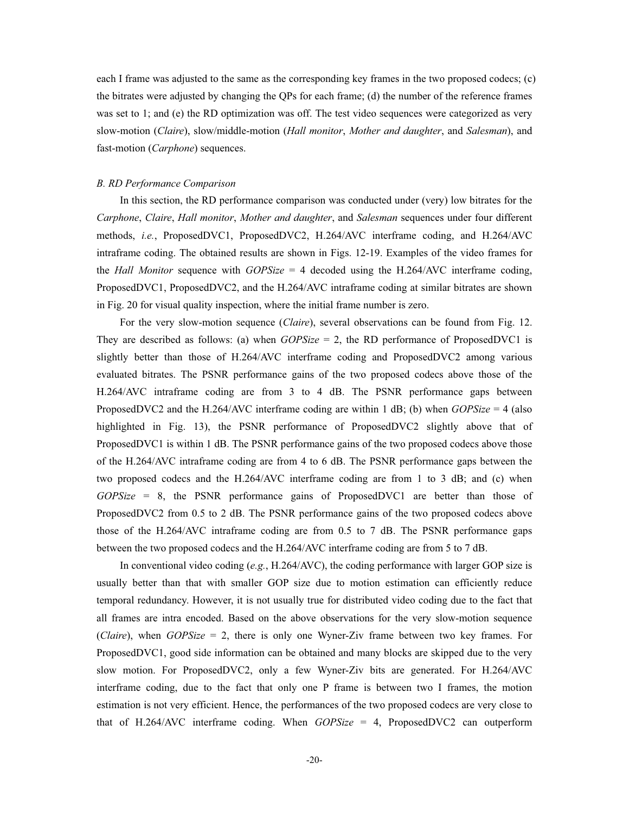each I frame was adjusted to the same as the corresponding key frames in the two proposed codecs; (c) the bitrates were adjusted by changing the QPs for each frame; (d) the number of the reference frames was set to 1; and (e) the RD optimization was off. The test video sequences were categorized as very slow-motion (*Claire*), slow/middle-motion (*Hall monitor*, *Mother and daughter*, and *Salesman*), and fast-motion (*Carphone*) sequences.

# *B. RD Performance Comparison*

In this section, the RD performance comparison was conducted under (very) low bitrates for the *Carphone*, *Claire*, *Hall monitor*, *Mother and daughter*, and *Salesman* sequences under four different methods, *i.e.*, ProposedDVC1, ProposedDVC2, H.264/AVC interframe coding, and H.264/AVC intraframe coding. The obtained results are shown in Figs. 12-19. Examples of the video frames for the *Hall Monitor* sequence with *GOPSize* = 4 decoded using the H.264/AVC interframe coding, ProposedDVC1, ProposedDVC2, and the H.264/AVC intraframe coding at similar bitrates are shown in Fig. 20 for visual quality inspection, where the initial frame number is zero.

For the very slow-motion sequence (*Claire*), several observations can be found from Fig. 12. They are described as follows: (a) when *GOPSize* = 2, the RD performance of ProposedDVC1 is slightly better than those of H.264/AVC interframe coding and ProposedDVC2 among various evaluated bitrates. The PSNR performance gains of the two proposed codecs above those of the H.264/AVC intraframe coding are from 3 to 4 dB. The PSNR performance gaps between ProposedDVC2 and the H.264/AVC interframe coding are within 1 dB; (b) when *GOPSize* = 4 (also highlighted in Fig. 13), the PSNR performance of ProposedDVC2 slightly above that of ProposedDVC1 is within 1 dB. The PSNR performance gains of the two proposed codecs above those of the H.264/AVC intraframe coding are from 4 to 6 dB. The PSNR performance gaps between the two proposed codecs and the H.264/AVC interframe coding are from 1 to 3 dB; and (c) when *GOPSize* = 8, the PSNR performance gains of ProposedDVC1 are better than those of ProposedDVC2 from 0.5 to 2 dB. The PSNR performance gains of the two proposed codecs above those of the H.264/AVC intraframe coding are from 0.5 to 7 dB. The PSNR performance gaps between the two proposed codecs and the H.264/AVC interframe coding are from 5 to 7 dB.

In conventional video coding (*e.g.*, H.264/AVC), the coding performance with larger GOP size is usually better than that with smaller GOP size due to motion estimation can efficiently reduce temporal redundancy. However, it is not usually true for distributed video coding due to the fact that all frames are intra encoded. Based on the above observations for the very slow-motion sequence (*Claire*), when *GOPSize* = 2, there is only one Wyner-Ziv frame between two key frames. For ProposedDVC1, good side information can be obtained and many blocks are skipped due to the very slow motion. For ProposedDVC2, only a few Wyner-Ziv bits are generated. For H.264/AVC interframe coding, due to the fact that only one P frame is between two I frames, the motion estimation is not very efficient. Hence, the performances of the two proposed codecs are very close to that of H.264/AVC interframe coding. When *GOPSize* = 4, ProposedDVC2 can outperform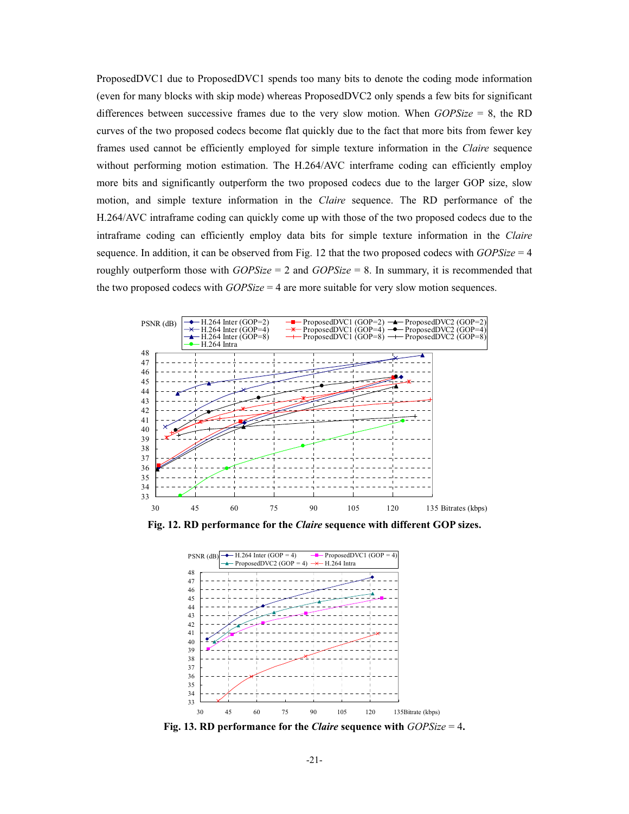ProposedDVC1 due to ProposedDVC1 spends too many bits to denote the coding mode information (even for many blocks with skip mode) whereas ProposedDVC2 only spends a few bits for significant differences between successive frames due to the very slow motion. When *GOPSize* = 8, the RD curves of the two proposed codecs become flat quickly due to the fact that more bits from fewer key frames used cannot be efficiently employed for simple texture information in the *Claire* sequence without performing motion estimation. The H.264/AVC interframe coding can efficiently employ more bits and significantly outperform the two proposed codecs due to the larger GOP size, slow motion, and simple texture information in the *Claire* sequence. The RD performance of the H.264/AVC intraframe coding can quickly come up with those of the two proposed codecs due to the intraframe coding can efficiently employ data bits for simple texture information in the *Claire* sequence. In addition, it can be observed from Fig. 12 that the two proposed codecs with *GOPSize* = 4 roughly outperform those with *GOPSize* = 2 and *GOPSize* = 8. In summary, it is recommended that the two proposed codecs with *GOPSize* = 4 are more suitable for very slow motion sequences.



**Fig. 12. RD performance for the** *Claire* **sequence with different GOP sizes.** 



**Fig. 13. RD performance for the** *Claire* **sequence with** *GOPSize* = 4**.**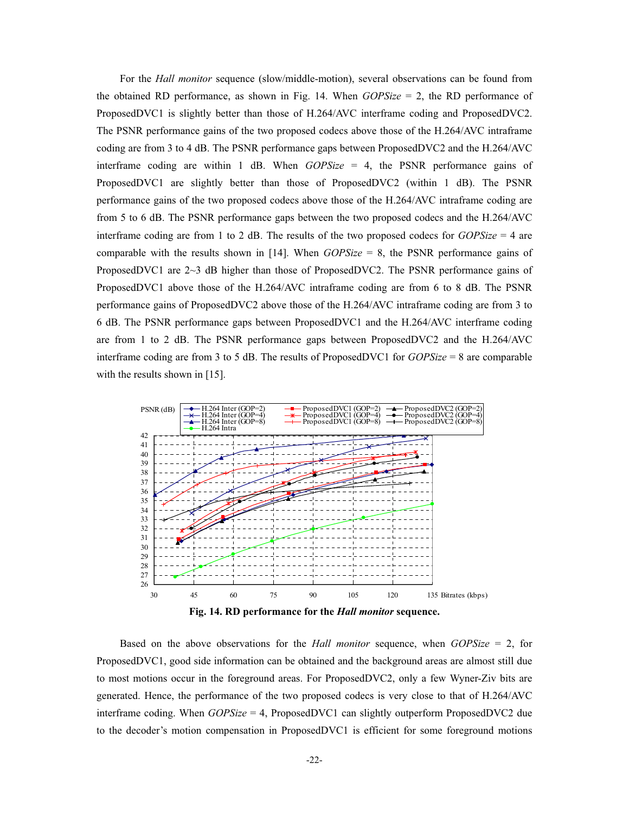For the *Hall monitor* sequence (slow/middle-motion), several observations can be found from the obtained RD performance, as shown in Fig. 14. When *GOPSize* = 2, the RD performance of ProposedDVC1 is slightly better than those of H.264/AVC interframe coding and ProposedDVC2. The PSNR performance gains of the two proposed codecs above those of the H.264/AVC intraframe coding are from 3 to 4 dB. The PSNR performance gaps between ProposedDVC2 and the H.264/AVC interframe coding are within 1 dB. When *GOPSize* = 4, the PSNR performance gains of ProposedDVC1 are slightly better than those of ProposedDVC2 (within 1 dB). The PSNR performance gains of the two proposed codecs above those of the H.264/AVC intraframe coding are from 5 to 6 dB. The PSNR performance gaps between the two proposed codecs and the H.264/AVC interframe coding are from 1 to 2 dB. The results of the two proposed codecs for *GOPSize* = 4 are comparable with the results shown in [14]. When *GOPSize* = 8, the PSNR performance gains of ProposedDVC1 are 2~3 dB higher than those of ProposedDVC2. The PSNR performance gains of ProposedDVC1 above those of the H.264/AVC intraframe coding are from 6 to 8 dB. The PSNR performance gains of ProposedDVC2 above those of the H.264/AVC intraframe coding are from 3 to 6 dB. The PSNR performance gaps between ProposedDVC1 and the H.264/AVC interframe coding are from 1 to 2 dB. The PSNR performance gaps between ProposedDVC2 and the H.264/AVC interframe coding are from 3 to 5 dB. The results of ProposedDVC1 for *GOPSize* = 8 are comparable with the results shown in [15].



Based on the above observations for the *Hall monitor* sequence, when *GOPSize* = 2, for ProposedDVC1, good side information can be obtained and the background areas are almost still due to most motions occur in the foreground areas. For ProposedDVC2, only a few Wyner-Ziv bits are generated. Hence, the performance of the two proposed codecs is very close to that of H.264/AVC interframe coding. When *GOPSize* = 4, ProposedDVC1 can slightly outperform ProposedDVC2 due to the decoder's motion compensation in ProposedDVC1 is efficient for some foreground motions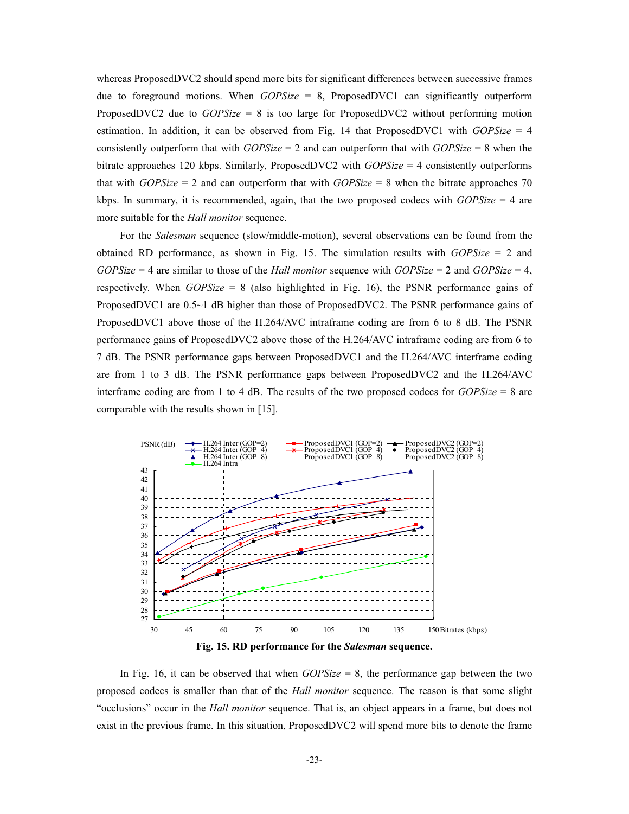whereas ProposedDVC2 should spend more bits for significant differences between successive frames due to foreground motions. When *GOPSize* = 8, ProposedDVC1 can significantly outperform ProposedDVC2 due to *GOPSize* = 8 is too large for ProposedDVC2 without performing motion estimation. In addition, it can be observed from Fig. 14 that ProposedDVC1 with *GOPSize* = 4 consistently outperform that with *GOPSize* = 2 and can outperform that with *GOPSize* = 8 when the bitrate approaches 120 kbps. Similarly, ProposedDVC2 with *GOPSize* = 4 consistently outperforms that with *GOPSize* = 2 and can outperform that with *GOPSize* = 8 when the bitrate approaches 70 kbps. In summary, it is recommended, again, that the two proposed codecs with *GOPSize* = 4 are more suitable for the *Hall monitor* sequence.

For the *Salesman* sequence (slow/middle-motion), several observations can be found from the obtained RD performance, as shown in Fig. 15. The simulation results with *GOPSize* = 2 and *GOPSize* = 4 are similar to those of the *Hall monitor* sequence with *GOPSize* = 2 and *GOPSize* = 4, respectively. When *GOPSize* = 8 (also highlighted in Fig. 16), the PSNR performance gains of ProposedDVC1 are 0.5~1 dB higher than those of ProposedDVC2. The PSNR performance gains of ProposedDVC1 above those of the H.264/AVC intraframe coding are from 6 to 8 dB. The PSNR performance gains of ProposedDVC2 above those of the H.264/AVC intraframe coding are from 6 to 7 dB. The PSNR performance gaps between ProposedDVC1 and the H.264/AVC interframe coding are from 1 to 3 dB. The PSNR performance gaps between ProposedDVC2 and the H.264/AVC interframe coding are from 1 to 4 dB. The results of the two proposed codecs for *GOPSize* = 8 are comparable with the results shown in [15].



**Fig. 15. RD performance for the** *Salesman* **sequence.** 

In Fig. 16, it can be observed that when *GOPSize* = 8, the performance gap between the two proposed codecs is smaller than that of the *Hall monitor* sequence. The reason is that some slight "occlusions" occur in the *Hall monitor* sequence. That is, an object appears in a frame, but does not exist in the previous frame. In this situation, ProposedDVC2 will spend more bits to denote the frame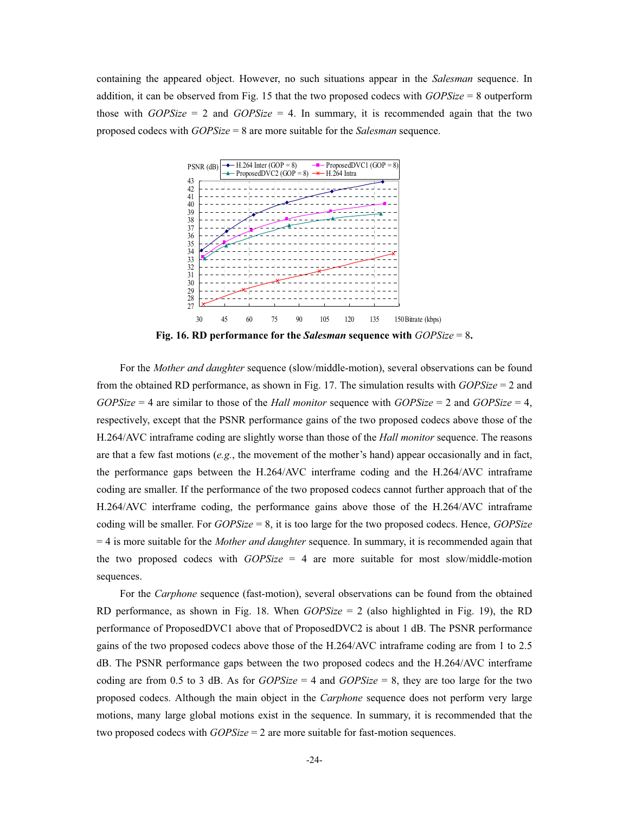containing the appeared object. However, no such situations appear in the *Salesman* sequence. In addition, it can be observed from Fig. 15 that the two proposed codecs with *GOPSize* = 8 outperform those with  $GOPSize = 2$  and  $GOPSize = 4$ . In summary, it is recommended again that the two proposed codecs with *GOPSize* = 8 are more suitable for the *Salesman* sequence.



**Fig. 16. RD performance for the** *Salesman* **sequence with** *GOPSize* = 8**.**

For the *Mother and daughter* sequence (slow/middle-motion), several observations can be found from the obtained RD performance, as shown in Fig. 17. The simulation results with *GOPSize* = 2 and *GOPSize* = 4 are similar to those of the *Hall monitor* sequence with *GOPSize* = 2 and *GOPSize* = 4, respectively, except that the PSNR performance gains of the two proposed codecs above those of the H.264/AVC intraframe coding are slightly worse than those of the *Hall monitor* sequence. The reasons are that a few fast motions (*e.g.*, the movement of the mother's hand) appear occasionally and in fact, the performance gaps between the H.264/AVC interframe coding and the H.264/AVC intraframe coding are smaller. If the performance of the two proposed codecs cannot further approach that of the H.264/AVC interframe coding, the performance gains above those of the H.264/AVC intraframe coding will be smaller. For *GOPSize* = 8, it is too large for the two proposed codecs. Hence, *GOPSize* = 4 is more suitable for the *Mother and daughter* sequence. In summary, it is recommended again that the two proposed codecs with *GOPSize* = 4 are more suitable for most slow/middle-motion sequences.

For the *Carphone* sequence (fast-motion), several observations can be found from the obtained RD performance, as shown in Fig. 18. When *GOPSize* = 2 (also highlighted in Fig. 19), the RD performance of ProposedDVC1 above that of ProposedDVC2 is about 1 dB. The PSNR performance gains of the two proposed codecs above those of the H.264/AVC intraframe coding are from 1 to 2.5 dB. The PSNR performance gaps between the two proposed codecs and the H.264/AVC interframe coding are from 0.5 to 3 dB. As for  $GOPSize = 4$  and  $GOPSize = 8$ , they are too large for the two proposed codecs. Although the main object in the *Carphone* sequence does not perform very large motions, many large global motions exist in the sequence. In summary, it is recommended that the two proposed codecs with *GOPSize* = 2 are more suitable for fast-motion sequences.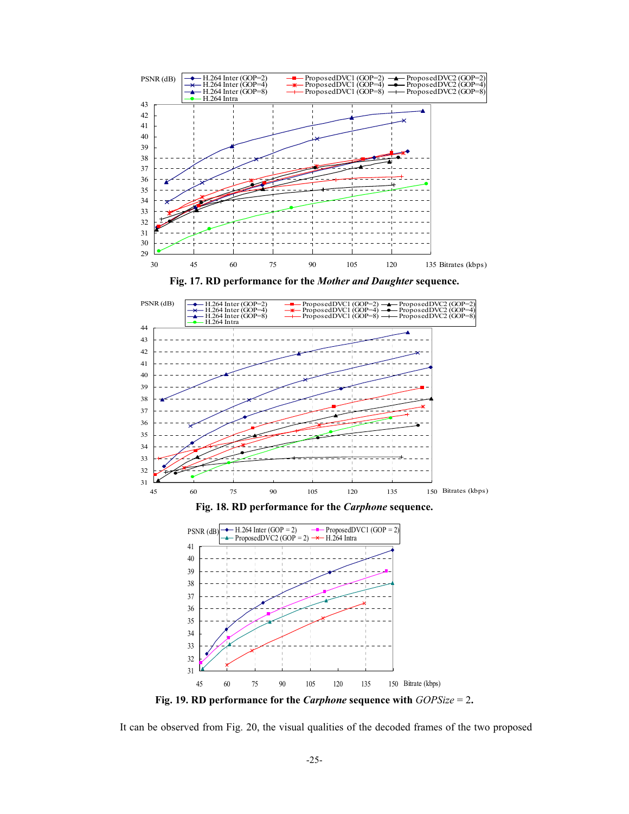

**Fig. 17. RD performance for the** *Mother and Daughter* **sequence.** 



**Fig. 19. RD performance for the** *Carphone* **sequence with** *GOPSize* = 2**.**

It can be observed from Fig. 20, the visual qualities of the decoded frames of the two proposed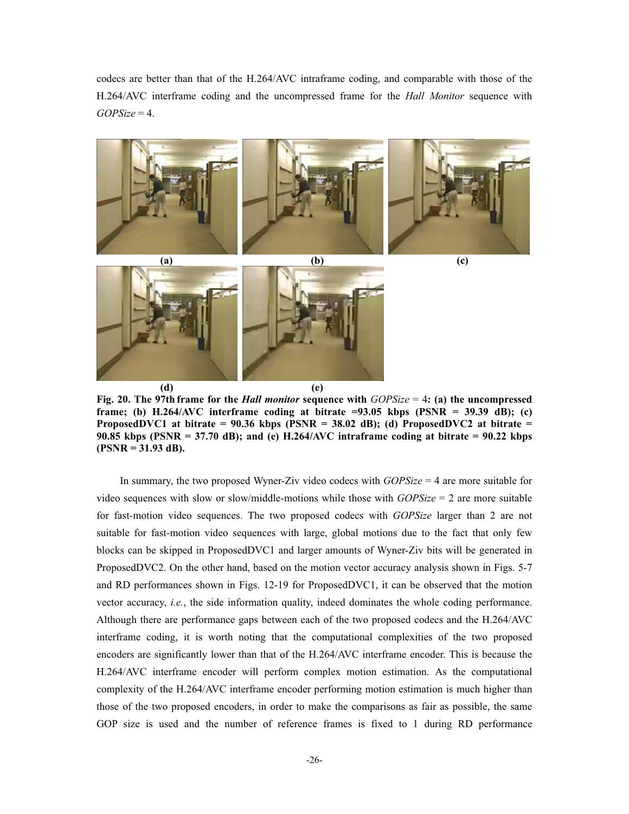codecs are better than that of the H.264/AVC intraframe coding, and comparable with those of the H.264/AVC interframe coding and the uncompressed frame for the *Hall Monitor* sequence with *GOPSize* = 4.



**Fig. 20. The 97th frame for the** *Hall monitor* **sequence with** *GOPSize* = 4**: (a) the uncompressed frame; (b) H.264/AVC interframe coding at bitrate =93.05 kbps (PSNR = 39.39 dB); (c) ProposedDVC1 at bitrate = 90.36 kbps (PSNR = 38.02 dB); (d) ProposedDVC2 at bitrate = 90.85 kbps (PSNR = 37.70 dB); and (e) H.264/AVC intraframe coding at bitrate = 90.22 kbps (PSNR = 31.93 dB).** 

In summary, the two proposed Wyner-Ziv video codecs with *GOPSize* = 4 are more suitable for video sequences with slow or slow/middle-motions while those with *GOPSize* = 2 are more suitable for fast-motion video sequences. The two proposed codecs with *GOPSize* larger than 2 are not suitable for fast-motion video sequences with large, global motions due to the fact that only few blocks can be skipped in ProposedDVC1 and larger amounts of Wyner-Ziv bits will be generated in ProposedDVC2. On the other hand, based on the motion vector accuracy analysis shown in Figs. 5-7 and RD performances shown in Figs. 12-19 for ProposedDVC1, it can be observed that the motion vector accuracy, *i.e.*, the side information quality, indeed dominates the whole coding performance. Although there are performance gaps between each of the two proposed codecs and the H.264/AVC interframe coding, it is worth noting that the computational complexities of the two proposed encoders are significantly lower than that of the H.264/AVC interframe encoder. This is because the H.264/AVC interframe encoder will perform complex motion estimation. As the computational complexity of the H.264/AVC interframe encoder performing motion estimation is much higher than those of the two proposed encoders, in order to make the comparisons as fair as possible, the same GOP size is used and the number of reference frames is fixed to 1 during RD performance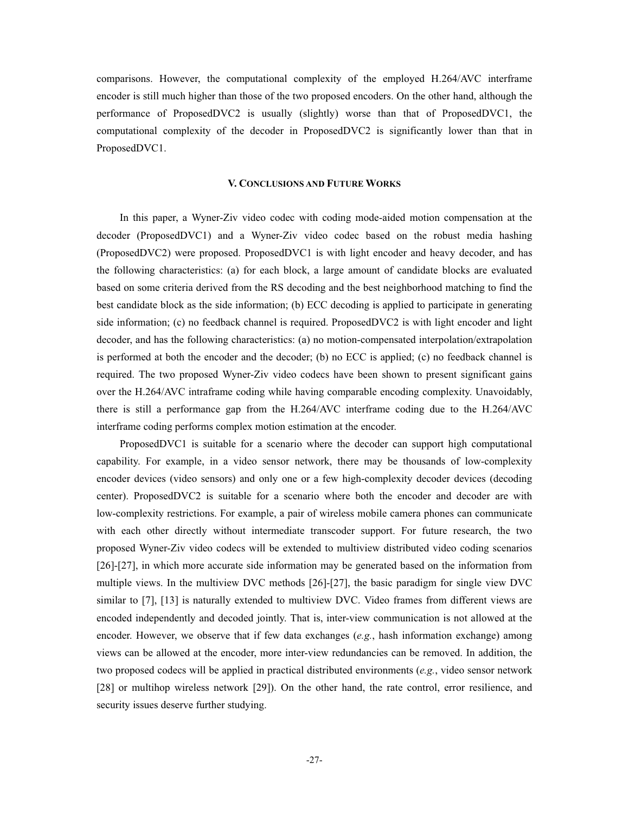comparisons. However, the computational complexity of the employed H.264/AVC interframe encoder is still much higher than those of the two proposed encoders. On the other hand, although the performance of ProposedDVC2 is usually (slightly) worse than that of ProposedDVC1, the computational complexity of the decoder in ProposedDVC2 is significantly lower than that in ProposedDVC1.

#### **V. CONCLUSIONS AND FUTURE WORKS**

 In this paper, a Wyner-Ziv video codec with coding mode-aided motion compensation at the decoder (ProposedDVC1) and a Wyner-Ziv video codec based on the robust media hashing (ProposedDVC2) were proposed. ProposedDVC1 is with light encoder and heavy decoder, and has the following characteristics: (a) for each block, a large amount of candidate blocks are evaluated based on some criteria derived from the RS decoding and the best neighborhood matching to find the best candidate block as the side information; (b) ECC decoding is applied to participate in generating side information; (c) no feedback channel is required. ProposedDVC2 is with light encoder and light decoder, and has the following characteristics: (a) no motion-compensated interpolation/extrapolation is performed at both the encoder and the decoder; (b) no ECC is applied; (c) no feedback channel is required. The two proposed Wyner-Ziv video codecs have been shown to present significant gains over the H.264/AVC intraframe coding while having comparable encoding complexity. Unavoidably, there is still a performance gap from the H.264/AVC interframe coding due to the H.264/AVC interframe coding performs complex motion estimation at the encoder.

 ProposedDVC1 is suitable for a scenario where the decoder can support high computational capability. For example, in a video sensor network, there may be thousands of low-complexity encoder devices (video sensors) and only one or a few high-complexity decoder devices (decoding center). ProposedDVC2 is suitable for a scenario where both the encoder and decoder are with low-complexity restrictions. For example, a pair of wireless mobile camera phones can communicate with each other directly without intermediate transcoder support. For future research, the two proposed Wyner-Ziv video codecs will be extended to multiview distributed video coding scenarios [26]-[27], in which more accurate side information may be generated based on the information from multiple views. In the multiview DVC methods [26]-[27], the basic paradigm for single view DVC similar to [7], [13] is naturally extended to multiview DVC. Video frames from different views are encoded independently and decoded jointly. That is, inter-view communication is not allowed at the encoder. However, we observe that if few data exchanges (*e.g.*, hash information exchange) among views can be allowed at the encoder, more inter-view redundancies can be removed. In addition, the two proposed codecs will be applied in practical distributed environments (*e.g.*, video sensor network [28] or multihop wireless network [29]). On the other hand, the rate control, error resilience, and security issues deserve further studying.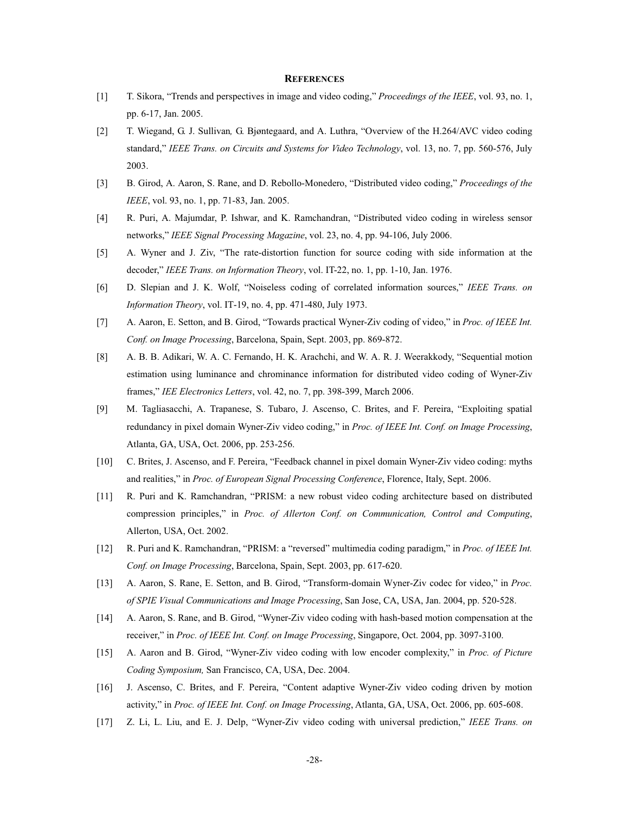# **REFERENCES**

- [1] T. Sikora, "Trends and perspectives in image and video coding," *Proceedings of the IEEE*, vol. 93, no. 1, pp. 6-17, Jan. 2005.
- [2] T. Wiegand, G. J. Sullivan*,* G. Bjøntegaard, and A. Luthra, "Overview of the H.264/AVC video coding standard," *IEEE Trans. on Circuits and Systems for Video Technology*, vol. 13, no. 7, pp. 560-576, July 2003.
- [3] B. Girod, A. Aaron, S. Rane, and D. Rebollo-Monedero, "Distributed video coding," *Proceedings of the IEEE*, vol. 93, no. 1, pp. 71-83, Jan. 2005.
- [4] R. Puri, A. Majumdar, P. Ishwar, and K. Ramchandran, "Distributed video coding in wireless sensor networks," *IEEE Signal Processing Magazine*, vol. 23, no. 4, pp. 94-106, July 2006.
- [5] A. Wyner and J. Ziv, "The rate-distortion function for source coding with side information at the decoder," *IEEE Trans. on Information Theory*, vol. IT-22, no. 1, pp. 1-10, Jan. 1976.
- [6] D. Slepian and J. K. Wolf, "Noiseless coding of correlated information sources," *IEEE Trans. on Information Theory*, vol. IT-19, no. 4, pp. 471-480, July 1973.
- [7] A. Aaron, E. Setton, and B. Girod, "Towards practical Wyner-Ziv coding of video," in *Proc. of IEEE Int. Conf. on Image Processing*, Barcelona, Spain, Sept. 2003, pp. 869-872.
- [8] A. B. B. Adikari, W. A. C. Fernando, H. K. Arachchi, and W. A. R. J. Weerakkody, "Sequential motion estimation using luminance and chrominance information for distributed video coding of Wyner-Ziv frames," *IEE Electronics Letters*, vol. 42, no. 7, pp. 398-399, March 2006.
- [9] M. Tagliasacchi, A. Trapanese, S. Tubaro, J. Ascenso, C. Brites, and F. Pereira, "Exploiting spatial redundancy in pixel domain Wyner-Ziv video coding," in *Proc. of IEEE Int. Conf. on Image Processing*, Atlanta, GA, USA, Oct. 2006, pp. 253-256.
- [10] C. Brites, J. Ascenso, and F. Pereira, "Feedback channel in pixel domain Wyner-Ziv video coding: myths and realities," in *Proc. of European Signal Processing Conference*, Florence, Italy, Sept. 2006.
- [11] R. Puri and K. Ramchandran, "PRISM: a new robust video coding architecture based on distributed compression principles," in *Proc. of Allerton Conf. on Communication, Control and Computing*, Allerton, USA, Oct. 2002.
- [12] R. Puri and K. Ramchandran, "PRISM: a "reversed" multimedia coding paradigm," in *Proc. of IEEE Int. Conf. on Image Processing*, Barcelona, Spain, Sept. 2003, pp. 617-620.
- [13] A. Aaron, S. Rane, E. Setton, and B. Girod, "Transform-domain Wyner-Ziv codec for video," in *Proc. of SPIE Visual Communications and Image Processing*, San Jose, CA, USA, Jan. 2004, pp. 520-528.
- [14] A. Aaron, S. Rane, and B. Girod, "Wyner-Ziv video coding with hash-based motion compensation at the receiver," in *Proc. of IEEE Int. Conf. on Image Processing*, Singapore, Oct. 2004, pp. 3097-3100.
- [15] A. Aaron and B. Girod, "Wyner-Ziv video coding with low encoder complexity," in *Proc. of Picture Coding Symposium,* San Francisco, CA, USA, Dec. 2004.
- [16] J. Ascenso, C. Brites, and F. Pereira, "Content adaptive Wyner-Ziv video coding driven by motion activity," in *Proc. of IEEE Int. Conf. on Image Processing*, Atlanta, GA, USA, Oct. 2006, pp. 605-608.
- [17] Z. Li, L. Liu, and E. J. Delp, "Wyner-Ziv video coding with universal prediction," *IEEE Trans. on*